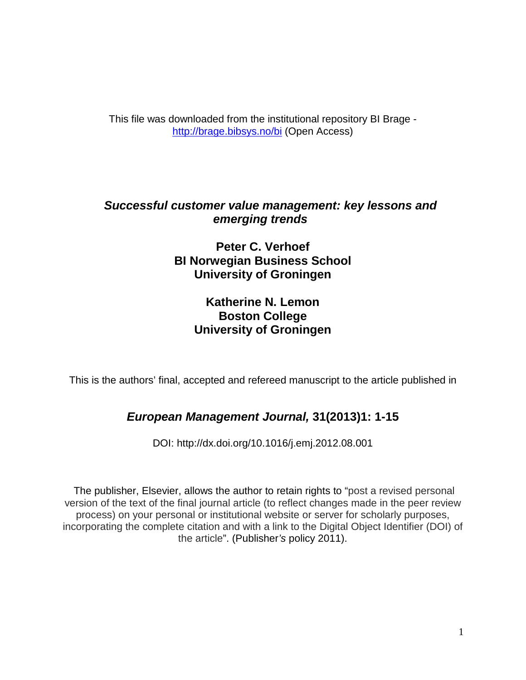This file was downloaded from the institutional repository BI Brage <http://brage.bibsys.no/bi> (Open Access)

# *Successful customer value management: key lessons and emerging trends*

**Peter C. Verhoef BI Norwegian Business School University of Groningen**

# **Katherine N. Lemon Boston College University of Groningen**

This is the authors' final, accepted and refereed manuscript to the article published in

# *European Management Journal,* **31(2013)1: 1-15**

DOI: http://dx.doi.org[/10.1016/j.emj.2012.08.001](http://dx.doi.org.ezproxy.library.bi.no/10.1016/j.emj.2012.08.001)

The publisher, Elsevier, allows the author to retain rights to "post a revised personal version of the text of the final journal article (to reflect changes made in the peer review process) on your personal or institutional website or server for scholarly purposes, incorporating the complete citation and with a link to the Digital Object Identifier (DOI) of the article". (Publisher*'s* policy 2011).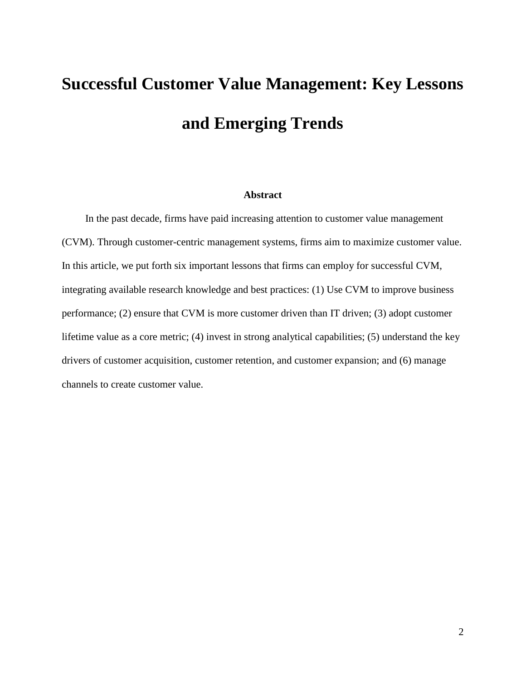# **Successful Customer Value Management: Key Lessons and Emerging Trends**

### **Abstract**

In the past decade, firms have paid increasing attention to customer value management (CVM). Through customer-centric management systems, firms aim to maximize customer value. In this article, we put forth six important lessons that firms can employ for successful CVM, integrating available research knowledge and best practices: (1) Use CVM to improve business performance;  $(2)$  ensure that CVM is more customer driven than IT driven;  $(3)$  adopt customer lifetime value as a core metric; (4) invest in strong analytical capabilities; (5) understand the key drivers of customer acquisition, customer retention, and customer expansion; and (6) manage channels to create customer value.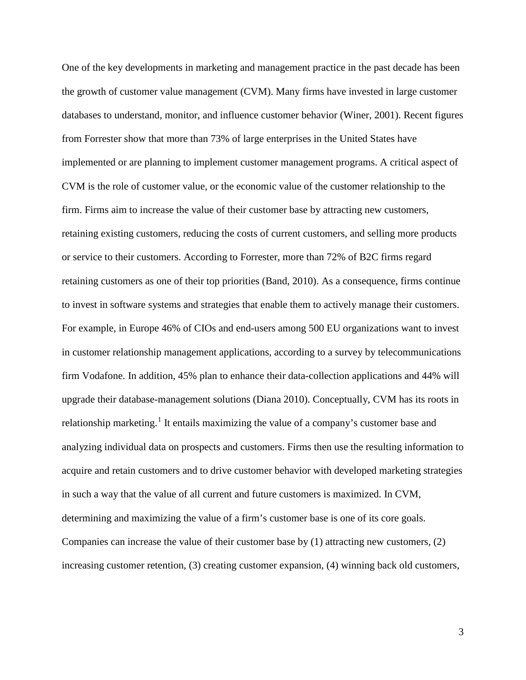One of the key developments in marketing and management practice in the past decade has been the growth of customer value management (CVM). Many firms have invested in large customer databases to understand, monitor, and influence customer behavior (Winer, 2001). Recent figures from Forrester show that more than 73% of large enterprises in the United States have implemented or are planning to implement customer management programs. A critical aspect of CVM is the role of customer value, or the economic value of the customer relationship to the firm. Firms aim to increase the value of their customer base by attracting new customers, retaining existing customers, reducing the costs of current customers, and selling more products or service to their customers. According to Forrester, more than 72% of B2C firms regard retaining customers as one of their top priorities (Band, 2010). As a consequence, firms continue to invest in software systems and strategies that enable them to actively manage their customers. For example, in Europe 46% of CIOs and end-users among 500 EU organizations want to invest in customer relationship management applications, according to a survey by telecommunications firm Vodafone. In addition, 45% plan to enhance their data-collection applications and 44% will upgrade their database-management solutions (Diana 2010). Conceptually, CVM has its roots in relationship marketing.<sup>[1](#page-47-0)</sup> It entails maximizing the value of a company's customer base and analyzing individual data on prospects and customers. Firms then use the resulting information to acquire and retain customers and to drive customer behavior with developed marketing strategies in such a way that the value of all current and future customers is maximized. In CVM, determining and maximizing the value of a firm's customer base is one of its core goals. Companies can increase the value of their customer base by (1) attracting new customers, (2) increasing customer retention, (3) creating customer expansion, (4) winning back old customers,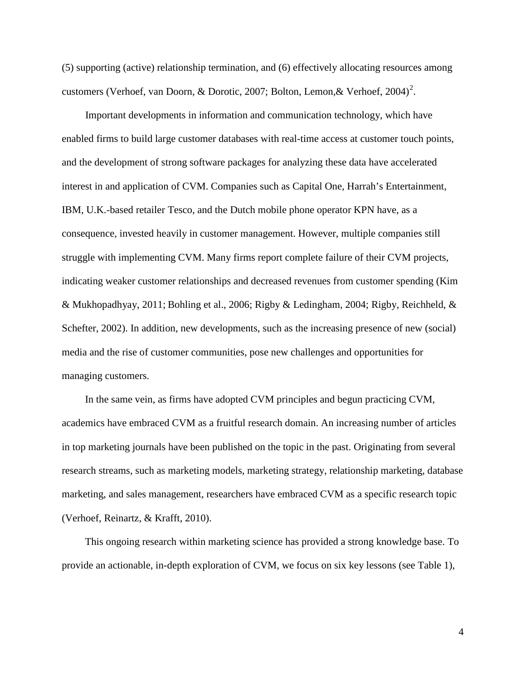(5) supporting (active) relationship termination, and (6) effectively allocating resources among customers (Verhoef, van Doorn, & Dorotic, [2](#page-47-1)007; Bolton, Lemon, & Verhoef, 2004)<sup>2</sup>.

Important developments in information and communication technology, which have enabled firms to build large customer databases with real-time access at customer touch points, and the development of strong software packages for analyzing these data have accelerated interest in and application of CVM. Companies such as Capital One, Harrah's Entertainment, IBM, U.K.-based retailer Tesco, and the Dutch mobile phone operator KPN have, as a consequence, invested heavily in customer management. However, multiple companies still struggle with implementing CVM. Many firms report complete failure of their CVM projects, indicating weaker customer relationships and decreased revenues from customer spending (Kim & Mukhopadhyay, 2011; Bohling et al., 2006; Rigby & Ledingham, 2004; Rigby, Reichheld, & Schefter, 2002). In addition, new developments, such as the increasing presence of new (social) media and the rise of customer communities, pose new challenges and opportunities for managing customers.

In the same vein, as firms have adopted CVM principles and begun practicing CVM, academics have embraced CVM as a fruitful research domain. An increasing number of articles in top marketing journals have been published on the topic in the past. Originating from several research streams, such as marketing models, marketing strategy, relationship marketing, database marketing, and sales management, researchers have embraced CVM as a specific research topic (Verhoef, Reinartz, & Krafft, 2010).

This ongoing research within marketing science has provided a strong knowledge base. To provide an actionable, in-depth exploration of CVM, we focus on six key lessons (see Table 1),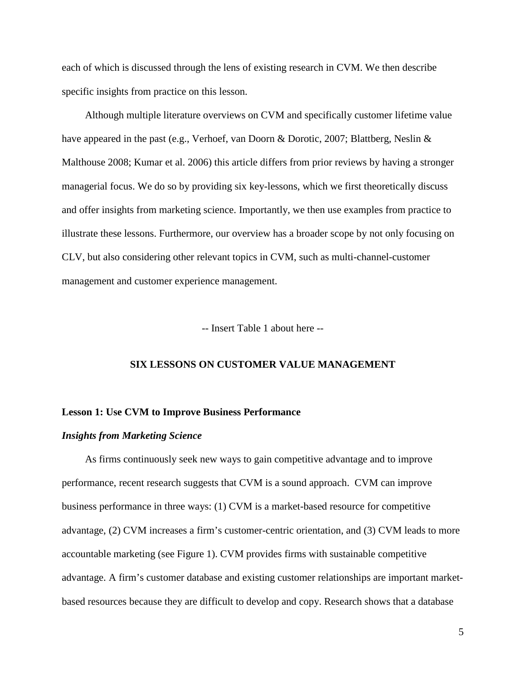each of which is discussed through the lens of existing research in CVM. We then describe specific insights from practice on this lesson.

Although multiple literature overviews on CVM and specifically customer lifetime value have appeared in the past (e.g., Verhoef, van Doorn & Dorotic, 2007; Blattberg, Neslin & Malthouse 2008; Kumar et al. 2006) this article differs from prior reviews by having a stronger managerial focus. We do so by providing six key-lessons, which we first theoretically discuss and offer insights from marketing science. Importantly, we then use examples from practice to illustrate these lessons. Furthermore, our overview has a broader scope by not only focusing on CLV, but also considering other relevant topics in CVM, such as multi-channel-customer management and customer experience management.

-- Insert Table 1 about here --

### **SIX LESSONS ON CUSTOMER VALUE MANAGEMENT**

#### **Lesson 1: Use CVM to Improve Business Performance**

### *Insights from Marketing Science*

As firms continuously seek new ways to gain competitive advantage and to improve performance, recent research suggests that CVM is a sound approach. CVM can improve business performance in three ways: (1) CVM is a market-based resource for competitive advantage, (2) CVM increases a firm's customer-centric orientation, and (3) CVM leads to more accountable marketing (see Figure 1). CVM provides firms with sustainable competitive advantage. A firm's customer database and existing customer relationships are important marketbased resources because they are difficult to develop and copy. Research shows that a database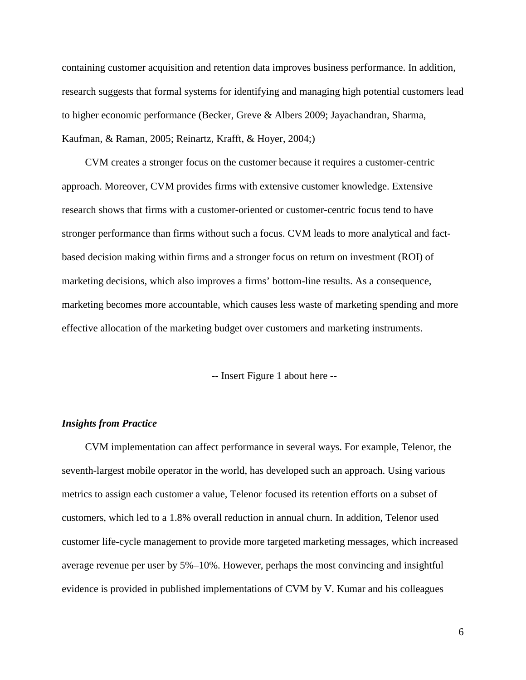containing customer acquisition and retention data improves business performance. In addition, research suggests that formal systems for identifying and managing high potential customers lead to higher economic performance (Becker, Greve & Albers 2009; Jayachandran, Sharma, Kaufman, & Raman, 2005; Reinartz, Krafft, & Hoyer, 2004;)

CVM creates a stronger focus on the customer because it requires a customer-centric approach. Moreover, CVM provides firms with extensive customer knowledge. Extensive research shows that firms with a customer-oriented or customer-centric focus tend to have stronger performance than firms without such a focus. CVM leads to more analytical and factbased decision making within firms and a stronger focus on return on investment (ROI) of marketing decisions, which also improves a firms' bottom-line results. As a consequence, marketing becomes more accountable, which causes less waste of marketing spending and more effective allocation of the marketing budget over customers and marketing instruments.

-- Insert Figure 1 about here --

### *Insights from Practice*

CVM implementation can affect performance in several ways. For example, Telenor, the seventh-largest mobile operator in the world, has developed such an approach. Using various metrics to assign each customer a value, Telenor focused its retention efforts on a subset of customers, which led to a 1.8% overall reduction in annual churn. In addition, Telenor used customer life-cycle management to provide more targeted marketing messages, which increased average revenue per user by 5%–10%. However, perhaps the most convincing and insightful evidence is provided in published implementations of CVM by V. Kumar and his colleagues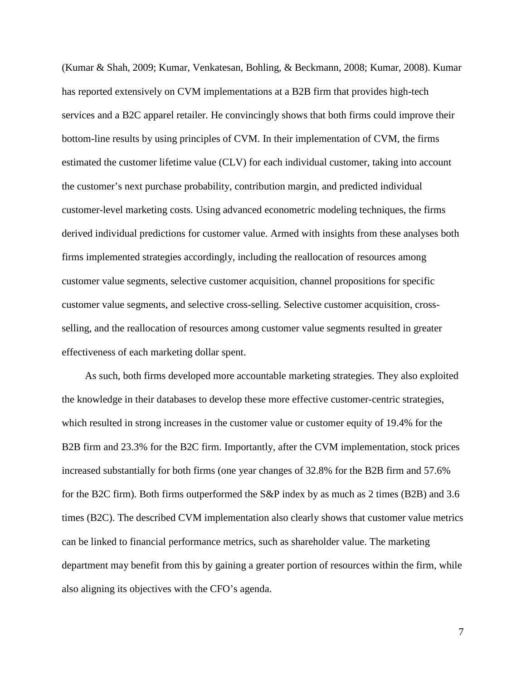(Kumar & Shah, 2009; Kumar, Venkatesan, Bohling, & Beckmann, 2008; Kumar, 2008). Kumar has reported extensively on CVM implementations at a B2B firm that provides high-tech services and a B2C apparel retailer. He convincingly shows that both firms could improve their bottom-line results by using principles of CVM. In their implementation of CVM, the firms estimated the customer lifetime value (CLV) for each individual customer, taking into account the customer's next purchase probability, contribution margin, and predicted individual customer-level marketing costs. Using advanced econometric modeling techniques, the firms derived individual predictions for customer value. Armed with insights from these analyses both firms implemented strategies accordingly, including the reallocation of resources among customer value segments, selective customer acquisition, channel propositions for specific customer value segments, and selective cross-selling. Selective customer acquisition, crossselling, and the reallocation of resources among customer value segments resulted in greater effectiveness of each marketing dollar spent.

As such, both firms developed more accountable marketing strategies. They also exploited the knowledge in their databases to develop these more effective customer-centric strategies, which resulted in strong increases in the customer value or customer equity of 19.4% for the B2B firm and 23.3% for the B2C firm. Importantly, after the CVM implementation, stock prices increased substantially for both firms (one year changes of 32.8% for the B2B firm and 57.6% for the B2C firm). Both firms outperformed the S&P index by as much as 2 times (B2B) and 3.6 times (B2C). The described CVM implementation also clearly shows that customer value metrics can be linked to financial performance metrics, such as shareholder value. The marketing department may benefit from this by gaining a greater portion of resources within the firm, while also aligning its objectives with the CFO's agenda.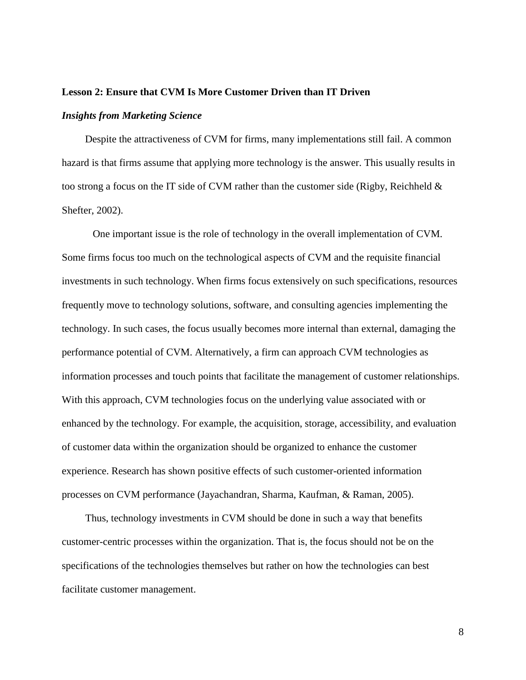### **Lesson 2: Ensure that CVM Is More Customer Driven than IT Driven**

### *Insights from Marketing Science*

Despite the attractiveness of CVM for firms, many implementations still fail. A common hazard is that firms assume that applying more technology is the answer. This usually results in too strong a focus on the IT side of CVM rather than the customer side (Rigby, Reichheld & Shefter, 2002).

One important issue is the role of technology in the overall implementation of CVM. Some firms focus too much on the technological aspects of CVM and the requisite financial investments in such technology. When firms focus extensively on such specifications, resources frequently move to technology solutions, software, and consulting agencies implementing the technology. In such cases, the focus usually becomes more internal than external, damaging the performance potential of CVM. Alternatively, a firm can approach CVM technologies as information processes and touch points that facilitate the management of customer relationships. With this approach, CVM technologies focus on the underlying value associated with or enhanced by the technology. For example, the acquisition, storage, accessibility, and evaluation of customer data within the organization should be organized to enhance the customer experience. Research has shown positive effects of such customer-oriented information processes on CVM performance (Jayachandran, Sharma, Kaufman, & Raman, 2005).

Thus, technology investments in CVM should be done in such a way that benefits customer-centric processes within the organization. That is, the focus should not be on the specifications of the technologies themselves but rather on how the technologies can best facilitate customer management.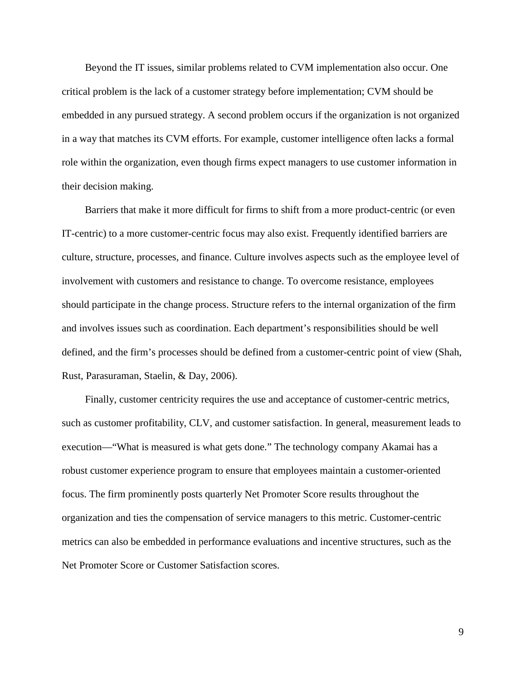Beyond the IT issues, similar problems related to CVM implementation also occur. One critical problem is the lack of a customer strategy before implementation; CVM should be embedded in any pursued strategy. A second problem occurs if the organization is not organized in a way that matches its CVM efforts. For example, customer intelligence often lacks a formal role within the organization, even though firms expect managers to use customer information in their decision making.

Barriers that make it more difficult for firms to shift from a more product-centric (or even IT-centric) to a more customer-centric focus may also exist. Frequently identified barriers are culture, structure, processes, and finance. Culture involves aspects such as the employee level of involvement with customers and resistance to change. To overcome resistance, employees should participate in the change process. Structure refers to the internal organization of the firm and involves issues such as coordination. Each department's responsibilities should be well defined, and the firm's processes should be defined from a customer-centric point of view (Shah, Rust, Parasuraman, Staelin, & Day, 2006).

Finally, customer centricity requires the use and acceptance of customer-centric metrics, such as customer profitability, CLV, and customer satisfaction. In general, measurement leads to execution—"What is measured is what gets done." The technology company Akamai has a robust customer experience program to ensure that employees maintain a customer-oriented focus. The firm prominently posts quarterly Net Promoter Score results throughout the organization and ties the compensation of service managers to this metric. Customer-centric metrics can also be embedded in performance evaluations and incentive structures, such as the Net Promoter Score or Customer Satisfaction scores.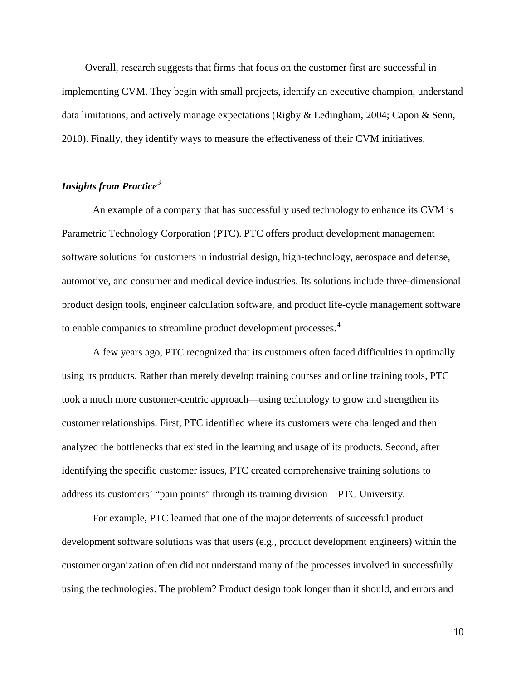Overall, research suggests that firms that focus on the customer first are successful in implementing CVM. They begin with small projects, identify an executive champion, understand data limitations, and actively manage expectations (Rigby & Ledingham, 2004; Capon & Senn, 2010). Finally, they identify ways to measure the effectiveness of their CVM initiatives.

### *Insights from Practice*[3](#page-47-2)

An example of a company that has successfully used technology to enhance its CVM is Parametric Technology Corporation (PTC). PTC offers product development management software solutions for customers in industrial design, high-technology, aerospace and defense, automotive, and consumer and medical device industries. Its solutions include three-dimensional product design tools, engineer calculation software, and product life-cycle management software to enable companies to streamline product development processes.<sup>[4](#page-47-3)</sup>

A few years ago, PTC recognized that its customers often faced difficulties in optimally using its products. Rather than merely develop training courses and online training tools, PTC took a much more customer-centric approach—using technology to grow and strengthen its customer relationships. First, PTC identified where its customers were challenged and then analyzed the bottlenecks that existed in the learning and usage of its products. Second, after identifying the specific customer issues, PTC created comprehensive training solutions to address its customers' "pain points" through its training division—PTC University.

For example, PTC learned that one of the major deterrents of successful product development software solutions was that users (e.g., product development engineers) within the customer organization often did not understand many of the processes involved in successfully using the technologies. The problem? Product design took longer than it should, and errors and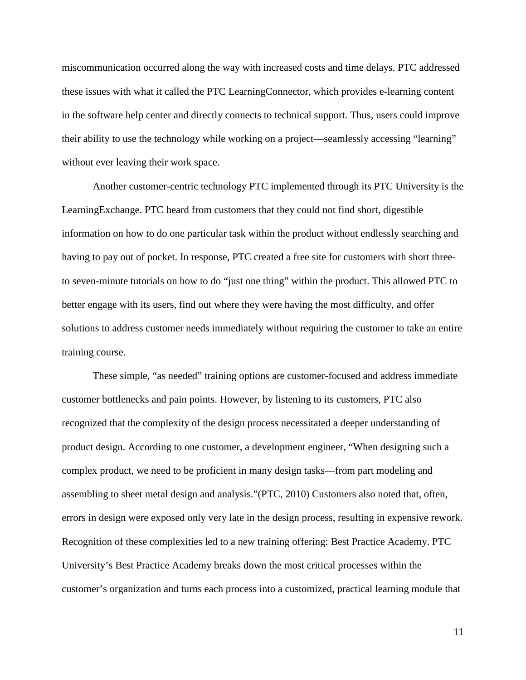miscommunication occurred along the way with increased costs and time delays. PTC addressed these issues with what it called the PTC LearningConnector, which provides e-learning content in the software help center and directly connects to technical support. Thus, users could improve their ability to use the technology while working on a project—seamlessly accessing "learning" without ever leaving their work space.

Another customer-centric technology PTC implemented through its PTC University is the LearningExchange. PTC heard from customers that they could not find short, digestible information on how to do one particular task within the product without endlessly searching and having to pay out of pocket. In response, PTC created a free site for customers with short threeto seven-minute tutorials on how to do "just one thing" within the product. This allowed PTC to better engage with its users, find out where they were having the most difficulty, and offer solutions to address customer needs immediately without requiring the customer to take an entire training course.

These simple, "as needed" training options are customer-focused and address immediate customer bottlenecks and pain points. However, by listening to its customers, PTC also recognized that the complexity of the design process necessitated a deeper understanding of product design. According to one customer, a development engineer, "When designing such a complex product, we need to be proficient in many design tasks—from part modeling and assembling to sheet metal design and analysis."(PTC, 2010) Customers also noted that, often, errors in design were exposed only very late in the design process, resulting in expensive rework. Recognition of these complexities led to a new training offering: Best Practice Academy. PTC University's Best Practice Academy breaks down the most critical processes within the customer's organization and turns each process into a customized, practical learning module that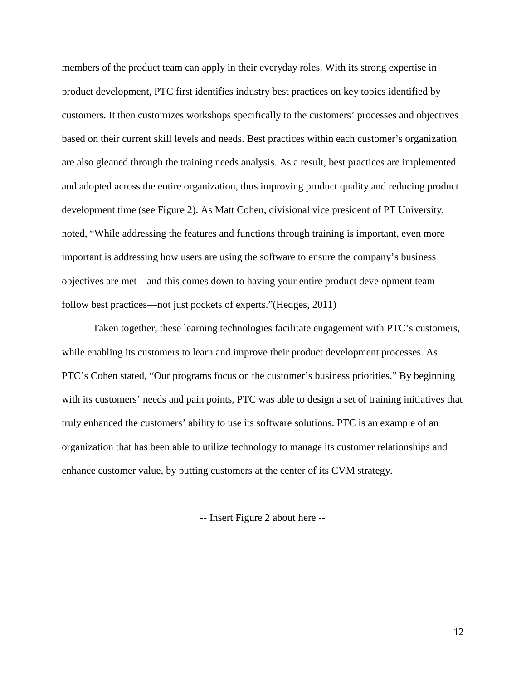members of the product team can apply in their everyday roles. With its strong expertise in product development, PTC first identifies industry best practices on key topics identified by customers. It then customizes workshops specifically to the customers' processes and objectives based on their current skill levels and needs. Best practices within each customer's organization are also gleaned through the training needs analysis. As a result, best practices are implemented and adopted across the entire organization, thus improving product quality and reducing product development time (see Figure 2). As Matt Cohen, divisional vice president of PT University, noted, "While addressing the features and functions through training is important, even more important is addressing how users are using the software to ensure the company's business objectives are met—and this comes down to having your entire product development team follow best practices—not just pockets of experts."(Hedges, 2011)

Taken together, these learning technologies facilitate engagement with PTC's customers, while enabling its customers to learn and improve their product development processes. As PTC's Cohen stated, "Our programs focus on the customer's business priorities." By beginning with its customers' needs and pain points, PTC was able to design a set of training initiatives that truly enhanced the customers' ability to use its software solutions. PTC is an example of an organization that has been able to utilize technology to manage its customer relationships and enhance customer value, by putting customers at the center of its CVM strategy.

-- Insert Figure 2 about here --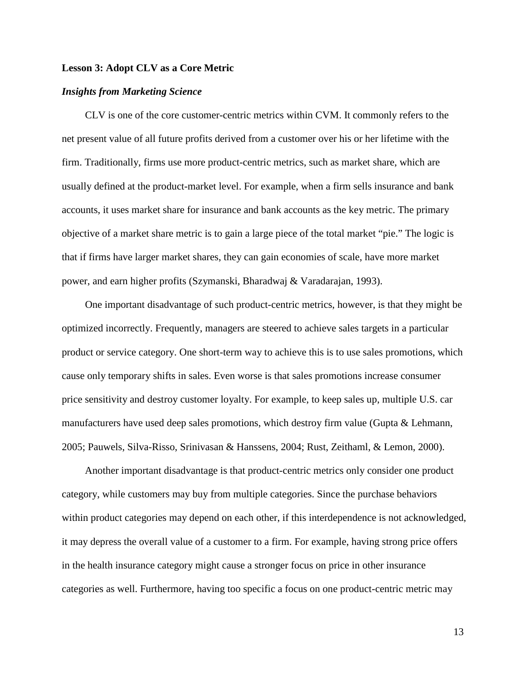### **Lesson 3: Adopt CLV as a Core Metric**

### *Insights from Marketing Science*

CLV is one of the core customer-centric metrics within CVM. It commonly refers to the net present value of all future profits derived from a customer over his or her lifetime with the firm. Traditionally, firms use more product-centric metrics, such as market share, which are usually defined at the product-market level. For example, when a firm sells insurance and bank accounts, it uses market share for insurance and bank accounts as the key metric. The primary objective of a market share metric is to gain a large piece of the total market "pie." The logic is that if firms have larger market shares, they can gain economies of scale, have more market power, and earn higher profits (Szymanski, Bharadwaj & Varadarajan, 1993).

One important disadvantage of such product-centric metrics, however, is that they might be optimized incorrectly. Frequently, managers are steered to achieve sales targets in a particular product or service category. One short-term way to achieve this is to use sales promotions, which cause only temporary shifts in sales. Even worse is that sales promotions increase consumer price sensitivity and destroy customer loyalty. For example, to keep sales up, multiple U.S. car manufacturers have used deep sales promotions, which destroy firm value (Gupta & Lehmann, 2005; Pauwels, Silva-Risso, Srinivasan & Hanssens, 2004; Rust, Zeithaml, & Lemon, 2000).

Another important disadvantage is that product-centric metrics only consider one product category, while customers may buy from multiple categories. Since the purchase behaviors within product categories may depend on each other, if this interdependence is not acknowledged, it may depress the overall value of a customer to a firm. For example, having strong price offers in the health insurance category might cause a stronger focus on price in other insurance categories as well. Furthermore, having too specific a focus on one product-centric metric may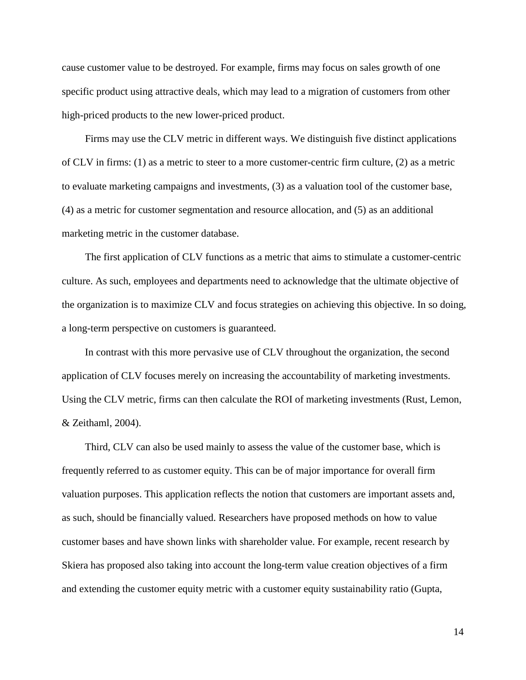cause customer value to be destroyed. For example, firms may focus on sales growth of one specific product using attractive deals, which may lead to a migration of customers from other high-priced products to the new lower-priced product.

Firms may use the CLV metric in different ways. We distinguish five distinct applications of CLV in firms: (1) as a metric to steer to a more customer-centric firm culture, (2) as a metric to evaluate marketing campaigns and investments, (3) as a valuation tool of the customer base, (4) as a metric for customer segmentation and resource allocation, and (5) as an additional marketing metric in the customer database.

The first application of CLV functions as a metric that aims to stimulate a customer-centric culture. As such, employees and departments need to acknowledge that the ultimate objective of the organization is to maximize CLV and focus strategies on achieving this objective. In so doing, a long-term perspective on customers is guaranteed.

In contrast with this more pervasive use of CLV throughout the organization, the second application of CLV focuses merely on increasing the accountability of marketing investments. Using the CLV metric, firms can then calculate the ROI of marketing investments (Rust, Lemon, & Zeithaml, 2004).

Third, CLV can also be used mainly to assess the value of the customer base, which is frequently referred to as customer equity. This can be of major importance for overall firm valuation purposes. This application reflects the notion that customers are important assets and, as such, should be financially valued. Researchers have proposed methods on how to value customer bases and have shown links with shareholder value. For example, recent research by Skiera has proposed also taking into account the long-term value creation objectives of a firm and extending the customer equity metric with a customer equity sustainability ratio (Gupta,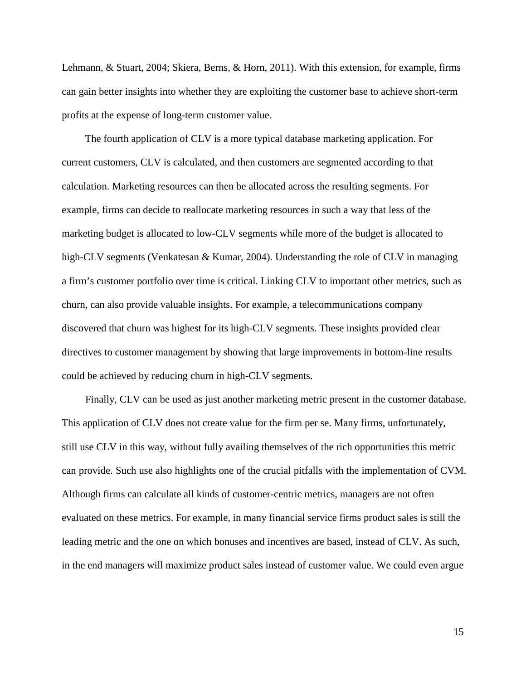Lehmann, & Stuart, 2004; Skiera, Berns, & Horn, 2011). With this extension, for example, firms can gain better insights into whether they are exploiting the customer base to achieve short-term profits at the expense of long-term customer value.

The fourth application of CLV is a more typical database marketing application. For current customers, CLV is calculated, and then customers are segmented according to that calculation. Marketing resources can then be allocated across the resulting segments. For example, firms can decide to reallocate marketing resources in such a way that less of the marketing budget is allocated to low-CLV segments while more of the budget is allocated to high-CLV segments (Venkatesan & Kumar, 2004). Understanding the role of CLV in managing a firm's customer portfolio over time is critical. Linking CLV to important other metrics, such as churn, can also provide valuable insights. For example, a telecommunications company discovered that churn was highest for its high-CLV segments. These insights provided clear directives to customer management by showing that large improvements in bottom-line results could be achieved by reducing churn in high-CLV segments.

Finally, CLV can be used as just another marketing metric present in the customer database. This application of CLV does not create value for the firm per se. Many firms, unfortunately, still use CLV in this way, without fully availing themselves of the rich opportunities this metric can provide. Such use also highlights one of the crucial pitfalls with the implementation of CVM. Although firms can calculate all kinds of customer-centric metrics, managers are not often evaluated on these metrics. For example, in many financial service firms product sales is still the leading metric and the one on which bonuses and incentives are based, instead of CLV. As such, in the end managers will maximize product sales instead of customer value. We could even argue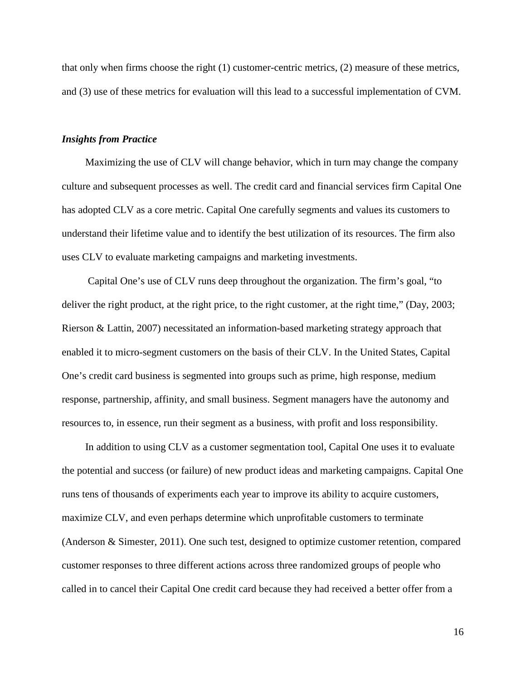that only when firms choose the right (1) customer-centric metrics, (2) measure of these metrics, and (3) use of these metrics for evaluation will this lead to a successful implementation of CVM.

### *Insights from Practice*

Maximizing the use of CLV will change behavior, which in turn may change the company culture and subsequent processes as well. The credit card and financial services firm Capital One has adopted CLV as a core metric. Capital One carefully segments and values its customers to understand their lifetime value and to identify the best utilization of its resources. The firm also uses CLV to evaluate marketing campaigns and marketing investments.

Capital One's use of CLV runs deep throughout the organization. The firm's goal, "to deliver the right product, at the right price, to the right customer, at the right time," (Day, 2003; Rierson & Lattin, 2007) necessitated an information-based marketing strategy approach that enabled it to micro-segment customers on the basis of their CLV. In the United States, Capital One's credit card business is segmented into groups such as prime, high response, medium response, partnership, affinity, and small business. Segment managers have the autonomy and resources to, in essence, run their segment as a business, with profit and loss responsibility.

In addition to using CLV as a customer segmentation tool, Capital One uses it to evaluate the potential and success (or failure) of new product ideas and marketing campaigns. Capital One runs tens of thousands of experiments each year to improve its ability to acquire customers, maximize CLV, and even perhaps determine which unprofitable customers to terminate (Anderson & Simester, 2011). One such test, designed to optimize customer retention, compared customer responses to three different actions across three randomized groups of people who called in to cancel their Capital One credit card because they had received a better offer from a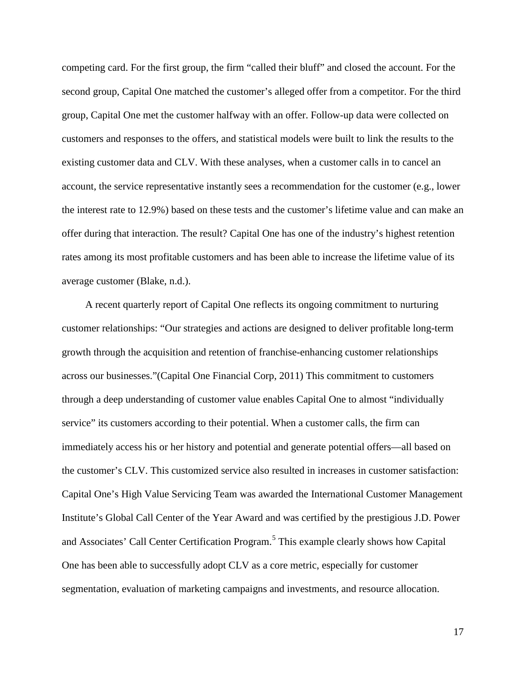competing card. For the first group, the firm "called their bluff" and closed the account. For the second group, Capital One matched the customer's alleged offer from a competitor. For the third group, Capital One met the customer halfway with an offer. Follow-up data were collected on customers and responses to the offers, and statistical models were built to link the results to the existing customer data and CLV. With these analyses, when a customer calls in to cancel an account, the service representative instantly sees a recommendation for the customer (e.g., lower the interest rate to 12.9%) based on these tests and the customer's lifetime value and can make an offer during that interaction. The result? Capital One has one of the industry's highest retention rates among its most profitable customers and has been able to increase the lifetime value of its average customer (Blake, n.d.).

A recent quarterly report of Capital One reflects its ongoing commitment to nurturing customer relationships: "Our strategies and actions are designed to deliver profitable long-term growth through the acquisition and retention of franchise-enhancing customer relationships across our businesses."(Capital One Financial Corp, 2011) This commitment to customers through a deep understanding of customer value enables Capital One to almost "individually service" its customers according to their potential. When a customer calls, the firm can immediately access his or her history and potential and generate potential offers—all based on the customer's CLV. This customized service also resulted in increases in customer satisfaction: Capital One's High Value Servicing Team was awarded the International Customer Management Institute's Global Call Center of the Year Award and was certified by the prestigious J.D. Power and Associates' Call Center Certification Program.<sup>[5](#page-47-4)</sup> This example clearly shows how Capital One has been able to successfully adopt CLV as a core metric, especially for customer segmentation, evaluation of marketing campaigns and investments, and resource allocation.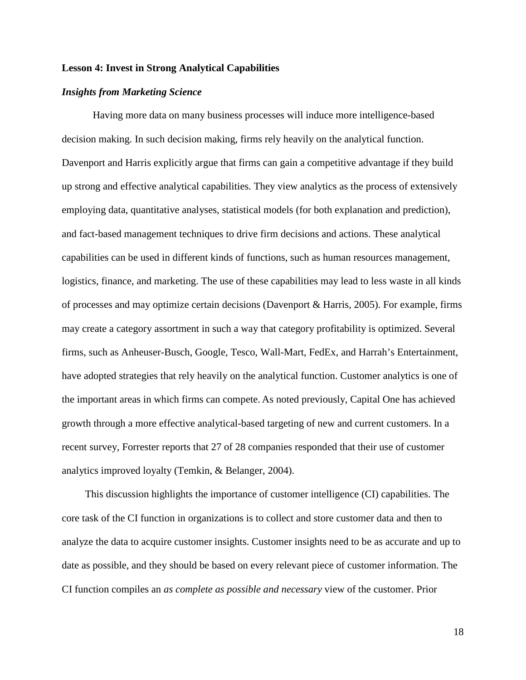### **Lesson 4: Invest in Strong Analytical Capabilities**

### *Insights from Marketing Science*

Having more data on many business processes will induce more intelligence-based decision making. In such decision making, firms rely heavily on the analytical function. Davenport and Harris explicitly argue that firms can gain a competitive advantage if they build up strong and effective analytical capabilities. They view analytics as the process of extensively employing data, quantitative analyses, statistical models (for both explanation and prediction), and fact-based management techniques to drive firm decisions and actions. These analytical capabilities can be used in different kinds of functions, such as human resources management, logistics, finance, and marketing. The use of these capabilities may lead to less waste in all kinds of processes and may optimize certain decisions (Davenport & Harris, 2005). For example, firms may create a category assortment in such a way that category profitability is optimized. Several firms, such as Anheuser-Busch, Google, Tesco, Wall-Mart, FedEx, and Harrah's Entertainment, have adopted strategies that rely heavily on the analytical function. Customer analytics is one of the important areas in which firms can compete. As noted previously, Capital One has achieved growth through a more effective analytical-based targeting of new and current customers. In a recent survey, Forrester reports that 27 of 28 companies responded that their use of customer analytics improved loyalty (Temkin, & Belanger, 2004).

This discussion highlights the importance of customer intelligence (CI) capabilities. The core task of the CI function in organizations is to collect and store customer data and then to analyze the data to acquire customer insights. Customer insights need to be as accurate and up to date as possible, and they should be based on every relevant piece of customer information. The CI function compiles an *as complete as possible and necessary* view of the customer. Prior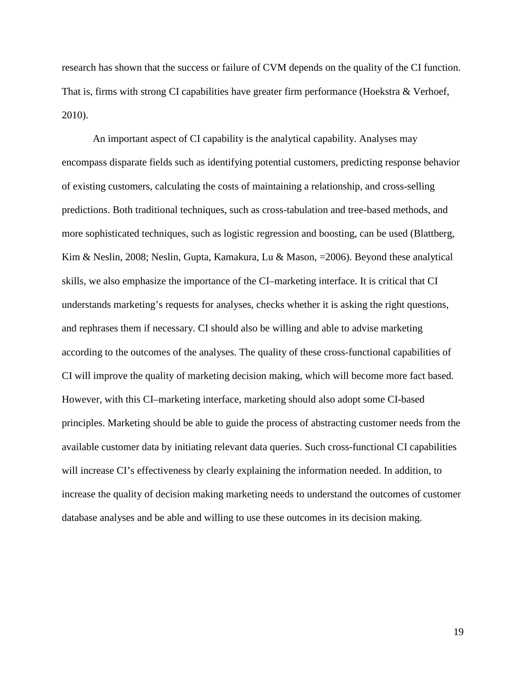research has shown that the success or failure of CVM depends on the quality of the CI function. That is, firms with strong CI capabilities have greater firm performance (Hoekstra & Verhoef, 2010).

An important aspect of CI capability is the analytical capability. Analyses may encompass disparate fields such as identifying potential customers, predicting response behavior of existing customers, calculating the costs of maintaining a relationship, and cross-selling predictions. Both traditional techniques, such as cross-tabulation and tree-based methods, and more sophisticated techniques, such as logistic regression and boosting, can be used (Blattberg, Kim & Neslin, 2008; Neslin, Gupta, Kamakura, Lu & Mason, =2006). Beyond these analytical skills, we also emphasize the importance of the CI–marketing interface. It is critical that CI understands marketing's requests for analyses, checks whether it is asking the right questions, and rephrases them if necessary. CI should also be willing and able to advise marketing according to the outcomes of the analyses. The quality of these cross-functional capabilities of CI will improve the quality of marketing decision making, which will become more fact based. However, with this CI–marketing interface, marketing should also adopt some CI-based principles. Marketing should be able to guide the process of abstracting customer needs from the available customer data by initiating relevant data queries. Such cross-functional CI capabilities will increase CI's effectiveness by clearly explaining the information needed. In addition, to increase the quality of decision making marketing needs to understand the outcomes of customer database analyses and be able and willing to use these outcomes in its decision making.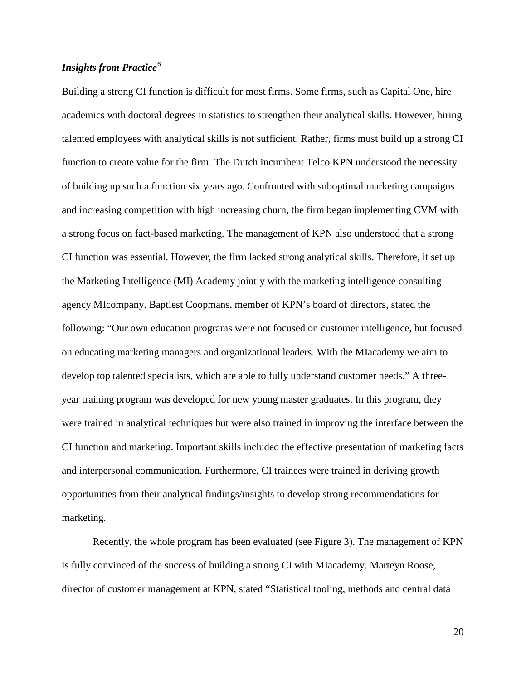### *Insights from Practice*<sup>[6](#page-47-5)</sup>

Building a strong CI function is difficult for most firms. Some firms, such as Capital One, hire academics with doctoral degrees in statistics to strengthen their analytical skills. However, hiring talented employees with analytical skills is not sufficient. Rather, firms must build up a strong CI function to create value for the firm. The Dutch incumbent Telco KPN understood the necessity of building up such a function six years ago. Confronted with suboptimal marketing campaigns and increasing competition with high increasing churn, the firm began implementing CVM with a strong focus on fact-based marketing. The management of KPN also understood that a strong CI function was essential. However, the firm lacked strong analytical skills. Therefore, it set up the Marketing Intelligence (MI) Academy jointly with the marketing intelligence consulting agency MIcompany. Baptiest Coopmans, member of KPN's board of directors, stated the following: "Our own education programs were not focused on customer intelligence, but focused on educating marketing managers and organizational leaders. With the MIacademy we aim to develop top talented specialists, which are able to fully understand customer needs." A threeyear training program was developed for new young master graduates. In this program, they were trained in analytical techniques but were also trained in improving the interface between the CI function and marketing. Important skills included the effective presentation of marketing facts and interpersonal communication. Furthermore, CI trainees were trained in deriving growth opportunities from their analytical findings/insights to develop strong recommendations for marketing.

Recently, the whole program has been evaluated (see Figure 3). The management of KPN is fully convinced of the success of building a strong CI with MIacademy. Marteyn Roose, director of customer management at KPN, stated "Statistical tooling, methods and central data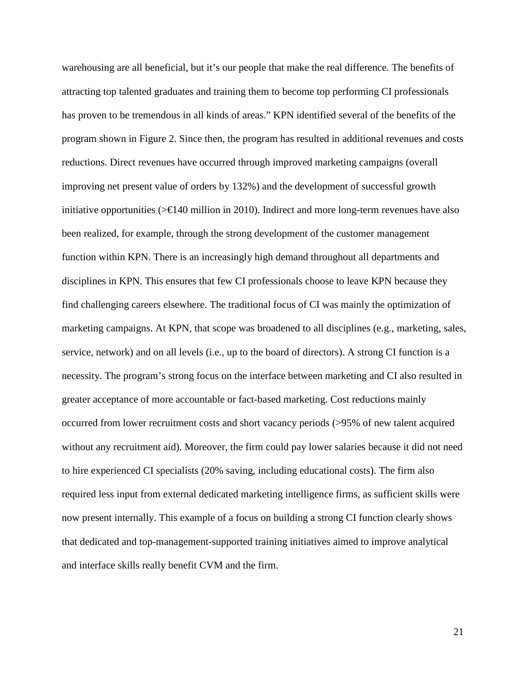warehousing are all beneficial, but it's our people that make the real difference. The benefits of attracting top talented graduates and training them to become top performing CI professionals has proven to be tremendous in all kinds of areas." KPN identified several of the benefits of the program shown in Figure 2. Since then, the program has resulted in additional revenues and costs reductions. Direct revenues have occurred through improved marketing campaigns (overall improving net present value of orders by 132%) and the development of successful growth initiative opportunities ( $\geq \text{E}$ 40 million in 2010). Indirect and more long-term revenues have also been realized, for example, through the strong development of the customer management function within KPN. There is an increasingly high demand throughout all departments and disciplines in KPN. This ensures that few CI professionals choose to leave KPN because they find challenging careers elsewhere. The traditional focus of CI was mainly the optimization of marketing campaigns. At KPN, that scope was broadened to all disciplines (e.g., marketing, sales, service, network) and on all levels (i.e., up to the board of directors). A strong CI function is a necessity. The program's strong focus on the interface between marketing and CI also resulted in greater acceptance of more accountable or fact-based marketing. Cost reductions mainly occurred from lower recruitment costs and short vacancy periods (>95% of new talent acquired without any recruitment aid). Moreover, the firm could pay lower salaries because it did not need to hire experienced CI specialists (20% saving, including educational costs). The firm also required less input from external dedicated marketing intelligence firms, as sufficient skills were now present internally. This example of a focus on building a strong CI function clearly shows that dedicated and top-management-supported training initiatives aimed to improve analytical and interface skills really benefit CVM and the firm.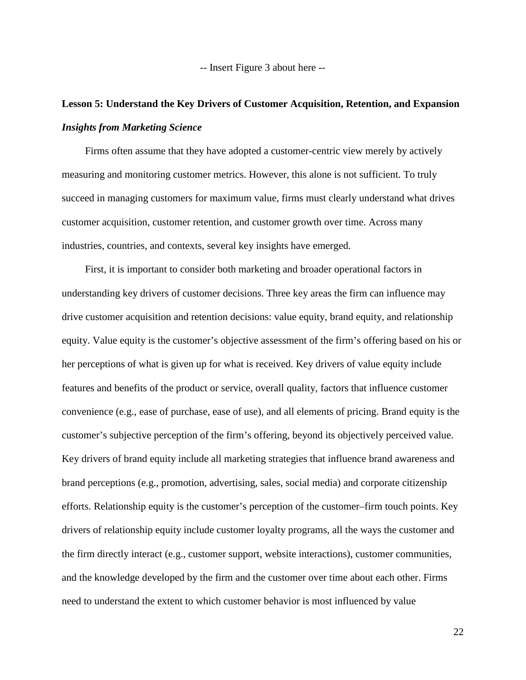-- Insert Figure 3 about here --

# **Lesson 5: Understand the Key Drivers of Customer Acquisition, Retention, and Expansion** *Insights from Marketing Science*

Firms often assume that they have adopted a customer-centric view merely by actively measuring and monitoring customer metrics. However, this alone is not sufficient. To truly succeed in managing customers for maximum value, firms must clearly understand what drives customer acquisition, customer retention, and customer growth over time. Across many industries, countries, and contexts, several key insights have emerged.

First, it is important to consider both marketing and broader operational factors in understanding key drivers of customer decisions. Three key areas the firm can influence may drive customer acquisition and retention decisions: value equity, brand equity, and relationship equity. Value equity is the customer's objective assessment of the firm's offering based on his or her perceptions of what is given up for what is received. Key drivers of value equity include features and benefits of the product or service, overall quality, factors that influence customer convenience (e.g., ease of purchase, ease of use), and all elements of pricing. Brand equity is the customer's subjective perception of the firm's offering, beyond its objectively perceived value. Key drivers of brand equity include all marketing strategies that influence brand awareness and brand perceptions (e.g., promotion, advertising, sales, social media) and corporate citizenship efforts. Relationship equity is the customer's perception of the customer–firm touch points. Key drivers of relationship equity include customer loyalty programs, all the ways the customer and the firm directly interact (e.g., customer support, website interactions), customer communities, and the knowledge developed by the firm and the customer over time about each other. Firms need to understand the extent to which customer behavior is most influenced by value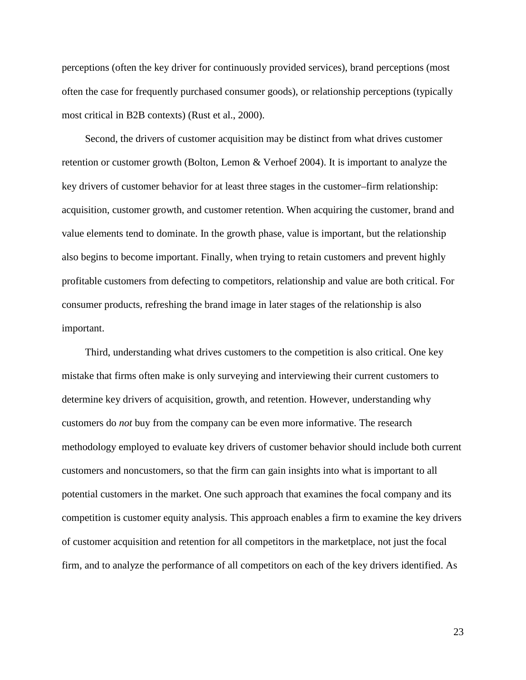perceptions (often the key driver for continuously provided services), brand perceptions (most often the case for frequently purchased consumer goods), or relationship perceptions (typically most critical in B2B contexts) (Rust et al., 2000).

Second, the drivers of customer acquisition may be distinct from what drives customer retention or customer growth (Bolton, Lemon & Verhoef 2004). It is important to analyze the key drivers of customer behavior for at least three stages in the customer–firm relationship: acquisition, customer growth, and customer retention. When acquiring the customer, brand and value elements tend to dominate. In the growth phase, value is important, but the relationship also begins to become important. Finally, when trying to retain customers and prevent highly profitable customers from defecting to competitors, relationship and value are both critical. For consumer products, refreshing the brand image in later stages of the relationship is also important.

Third, understanding what drives customers to the competition is also critical. One key mistake that firms often make is only surveying and interviewing their current customers to determine key drivers of acquisition, growth, and retention. However, understanding why customers do *not* buy from the company can be even more informative. The research methodology employed to evaluate key drivers of customer behavior should include both current customers and noncustomers, so that the firm can gain insights into what is important to all potential customers in the market. One such approach that examines the focal company and its competition is customer equity analysis. This approach enables a firm to examine the key drivers of customer acquisition and retention for all competitors in the marketplace, not just the focal firm, and to analyze the performance of all competitors on each of the key drivers identified. As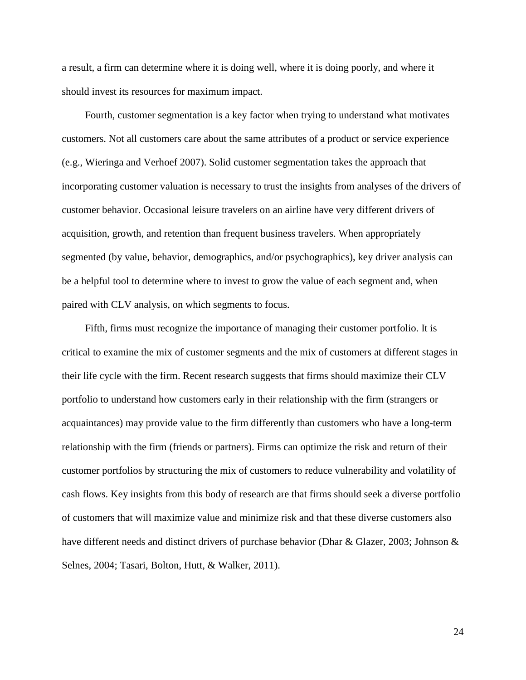a result, a firm can determine where it is doing well, where it is doing poorly, and where it should invest its resources for maximum impact.

Fourth, customer segmentation is a key factor when trying to understand what motivates customers. Not all customers care about the same attributes of a product or service experience (e.g., Wieringa and Verhoef 2007). Solid customer segmentation takes the approach that incorporating customer valuation is necessary to trust the insights from analyses of the drivers of customer behavior. Occasional leisure travelers on an airline have very different drivers of acquisition, growth, and retention than frequent business travelers. When appropriately segmented (by value, behavior, demographics, and/or psychographics), key driver analysis can be a helpful tool to determine where to invest to grow the value of each segment and, when paired with CLV analysis, on which segments to focus.

Fifth, firms must recognize the importance of managing their customer portfolio. It is critical to examine the mix of customer segments and the mix of customers at different stages in their life cycle with the firm. Recent research suggests that firms should maximize their CLV portfolio to understand how customers early in their relationship with the firm (strangers or acquaintances) may provide value to the firm differently than customers who have a long-term relationship with the firm (friends or partners). Firms can optimize the risk and return of their customer portfolios by structuring the mix of customers to reduce vulnerability and volatility of cash flows. Key insights from this body of research are that firms should seek a diverse portfolio of customers that will maximize value and minimize risk and that these diverse customers also have different needs and distinct drivers of purchase behavior (Dhar & Glazer, 2003; Johnson & Selnes, 2004; Tasari, Bolton, Hutt, & Walker, 2011).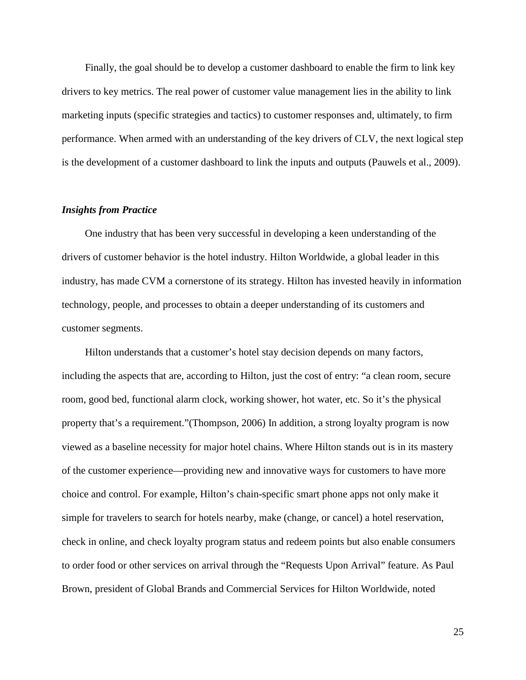Finally, the goal should be to develop a customer dashboard to enable the firm to link key drivers to key metrics. The real power of customer value management lies in the ability to link marketing inputs (specific strategies and tactics) to customer responses and, ultimately, to firm performance. When armed with an understanding of the key drivers of CLV, the next logical step is the development of a customer dashboard to link the inputs and outputs (Pauwels et al., 2009).

### *Insights from Practice*

One industry that has been very successful in developing a keen understanding of the drivers of customer behavior is the hotel industry. Hilton Worldwide, a global leader in this industry, has made CVM a cornerstone of its strategy. Hilton has invested heavily in information technology, people, and processes to obtain a deeper understanding of its customers and customer segments.

Hilton understands that a customer's hotel stay decision depends on many factors, including the aspects that are, according to Hilton, just the cost of entry: "a clean room, secure room, good bed, functional alarm clock, working shower, hot water, etc. So it's the physical property that's a requirement."(Thompson, 2006) In addition, a strong loyalty program is now viewed as a baseline necessity for major hotel chains. Where Hilton stands out is in its mastery of the customer experience—providing new and innovative ways for customers to have more choice and control. For example, Hilton's chain-specific smart phone apps not only make it simple for travelers to search for hotels nearby, make (change, or cancel) a hotel reservation, check in online, and check loyalty program status and redeem points but also enable consumers to order food or other services on arrival through the "Requests Upon Arrival" feature. As Paul Brown, president of Global Brands and Commercial Services for Hilton Worldwide, noted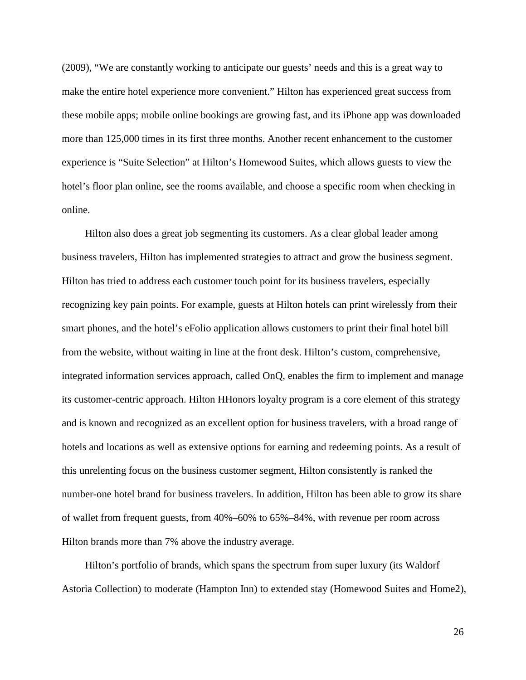(2009), "We are constantly working to anticipate our guests' needs and this is a great way to make the entire hotel experience more convenient." Hilton has experienced great success from these mobile apps; mobile online bookings are growing fast, and its iPhone app was downloaded more than 125,000 times in its first three months. Another recent enhancement to the customer experience is "Suite Selection" at Hilton's Homewood Suites, which allows guests to view the hotel's floor plan online, see the rooms available, and choose a specific room when checking in online.

Hilton also does a great job segmenting its customers. As a clear global leader among business travelers, Hilton has implemented strategies to attract and grow the business segment. Hilton has tried to address each customer touch point for its business travelers, especially recognizing key pain points. For example, guests at Hilton hotels can print wirelessly from their smart phones, and the hotel's eFolio application allows customers to print their final hotel bill from the website, without waiting in line at the front desk. Hilton's custom, comprehensive, integrated information services approach, called OnQ, enables the firm to implement and manage its customer-centric approach. Hilton HHonors loyalty program is a core element of this strategy and is known and recognized as an excellent option for business travelers, with a broad range of hotels and locations as well as extensive options for earning and redeeming points. As a result of this unrelenting focus on the business customer segment, Hilton consistently is ranked the number-one hotel brand for business travelers. In addition, Hilton has been able to grow its share of wallet from frequent guests, from 40%–60% to 65%–84%, with revenue per room across Hilton brands more than 7% above the industry average.

Hilton's portfolio of brands, which spans the spectrum from super luxury (its Waldorf Astoria Collection) to moderate (Hampton Inn) to extended stay (Homewood Suites and Home2),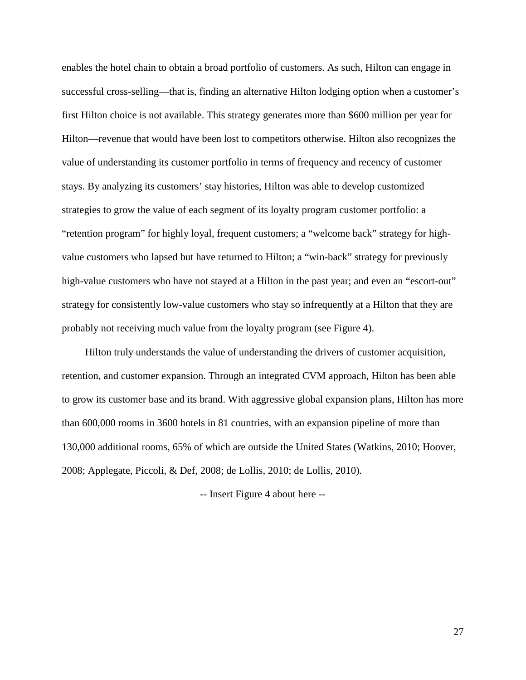enables the hotel chain to obtain a broad portfolio of customers. As such, Hilton can engage in successful cross-selling—that is, finding an alternative Hilton lodging option when a customer's first Hilton choice is not available. This strategy generates more than \$600 million per year for Hilton—revenue that would have been lost to competitors otherwise. Hilton also recognizes the value of understanding its customer portfolio in terms of frequency and recency of customer stays. By analyzing its customers' stay histories, Hilton was able to develop customized strategies to grow the value of each segment of its loyalty program customer portfolio: a "retention program" for highly loyal, frequent customers; a "welcome back" strategy for highvalue customers who lapsed but have returned to Hilton; a "win-back" strategy for previously high-value customers who have not stayed at a Hilton in the past year; and even an "escort-out" strategy for consistently low-value customers who stay so infrequently at a Hilton that they are probably not receiving much value from the loyalty program (see Figure 4).

Hilton truly understands the value of understanding the drivers of customer acquisition, retention, and customer expansion. Through an integrated CVM approach, Hilton has been able to grow its customer base and its brand. With aggressive global expansion plans, Hilton has more than 600,000 rooms in 3600 hotels in 81 countries, with an expansion pipeline of more than 130,000 additional rooms, 65% of which are outside the United States (Watkins, 2010; Hoover, 2008; Applegate, Piccoli, & Def, 2008; de Lollis, 2010; de Lollis, 2010).

-- Insert Figure 4 about here --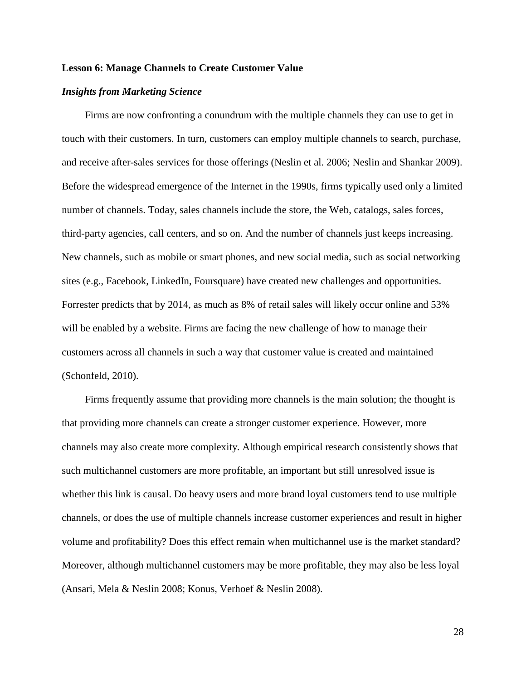### **Lesson 6: Manage Channels to Create Customer Value**

### *Insights from Marketing Science*

Firms are now confronting a conundrum with the multiple channels they can use to get in touch with their customers. In turn, customers can employ multiple channels to search, purchase, and receive after-sales services for those offerings (Neslin et al. 2006; Neslin and Shankar 2009). Before the widespread emergence of the Internet in the 1990s, firms typically used only a limited number of channels. Today, sales channels include the store, the Web, catalogs, sales forces, third-party agencies, call centers, and so on. And the number of channels just keeps increasing. New channels, such as mobile or smart phones, and new social media, such as social networking sites (e.g., Facebook, LinkedIn, Foursquare) have created new challenges and opportunities. Forrester predicts that by 2014, as much as 8% of retail sales will likely occur online and 53% will be enabled by a website. Firms are facing the new challenge of how to manage their customers across all channels in such a way that customer value is created and maintained (Schonfeld, 2010).

Firms frequently assume that providing more channels is the main solution; the thought is that providing more channels can create a stronger customer experience. However, more channels may also create more complexity. Although empirical research consistently shows that such multichannel customers are more profitable, an important but still unresolved issue is whether this link is causal. Do heavy users and more brand loyal customers tend to use multiple channels, or does the use of multiple channels increase customer experiences and result in higher volume and profitability? Does this effect remain when multichannel use is the market standard? Moreover, although multichannel customers may be more profitable, they may also be less loyal (Ansari, Mela & Neslin 2008; Konus, Verhoef & Neslin 2008).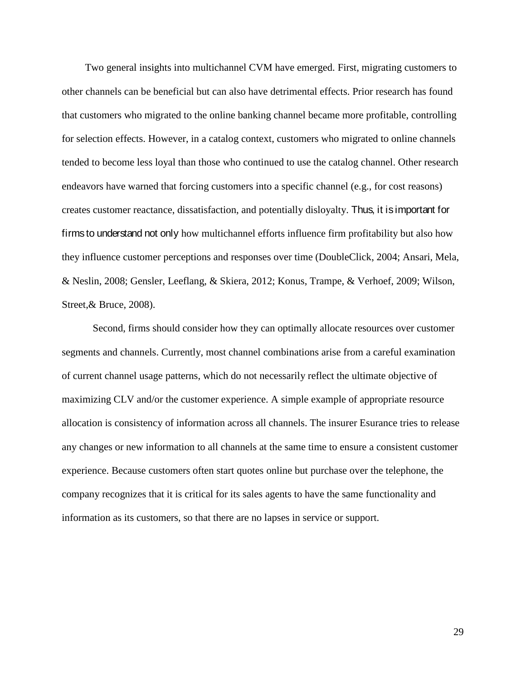Two general insights into multichannel CVM have emerged. First, migrating customers to other channels can be beneficial but can also have detrimental effects. Prior research has found that customers who migrated to the online banking channel became more profitable, controlling for selection effects. However, in a catalog context, customers who migrated to online channels tended to become less loyal than those who continued to use the catalog channel. Other research endeavors have warned that forcing customers into a specific channel (e.g., for cost reasons) creates customer reactance, dissatisfaction, and potentially disloyalty. Thus, it is important for firms to understand not only how multichannel efforts influence firm profitability but also how they influence customer perceptions and responses over time (DoubleClick, 2004; Ansari, Mela, & Neslin, 2008; Gensler, Leeflang, & Skiera, 2012; Konus, Trampe, & Verhoef, 2009; Wilson, Street,& Bruce, 2008).

Second, firms should consider how they can optimally allocate resources over customer segments and channels. Currently, most channel combinations arise from a careful examination of current channel usage patterns, which do not necessarily reflect the ultimate objective of maximizing CLV and/or the customer experience. A simple example of appropriate resource allocation is consistency of information across all channels. The insurer Esurance tries to release any changes or new information to all channels at the same time to ensure a consistent customer experience. Because customers often start quotes online but purchase over the telephone, the company recognizes that it is critical for its sales agents to have the same functionality and information as its customers, so that there are no lapses in service or support.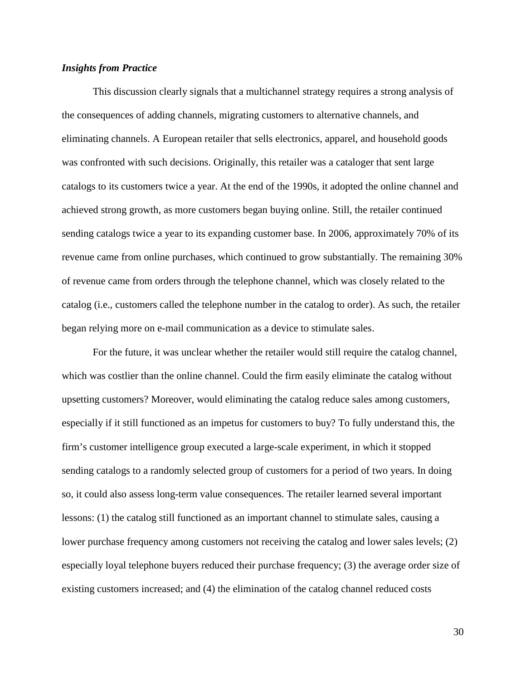### *Insights from Practice*

This discussion clearly signals that a multichannel strategy requires a strong analysis of the consequences of adding channels, migrating customers to alternative channels, and eliminating channels. A European retailer that sells electronics, apparel, and household goods was confronted with such decisions. Originally, this retailer was a cataloger that sent large catalogs to its customers twice a year. At the end of the 1990s, it adopted the online channel and achieved strong growth, as more customers began buying online. Still, the retailer continued sending catalogs twice a year to its expanding customer base. In 2006, approximately 70% of its revenue came from online purchases, which continued to grow substantially. The remaining 30% of revenue came from orders through the telephone channel, which was closely related to the catalog (i.e., customers called the telephone number in the catalog to order). As such, the retailer began relying more on e-mail communication as a device to stimulate sales.

For the future, it was unclear whether the retailer would still require the catalog channel, which was costlier than the online channel. Could the firm easily eliminate the catalog without upsetting customers? Moreover, would eliminating the catalog reduce sales among customers, especially if it still functioned as an impetus for customers to buy? To fully understand this, the firm's customer intelligence group executed a large-scale experiment, in which it stopped sending catalogs to a randomly selected group of customers for a period of two years. In doing so, it could also assess long-term value consequences. The retailer learned several important lessons: (1) the catalog still functioned as an important channel to stimulate sales, causing a lower purchase frequency among customers not receiving the catalog and lower sales levels; (2) especially loyal telephone buyers reduced their purchase frequency; (3) the average order size of existing customers increased; and (4) the elimination of the catalog channel reduced costs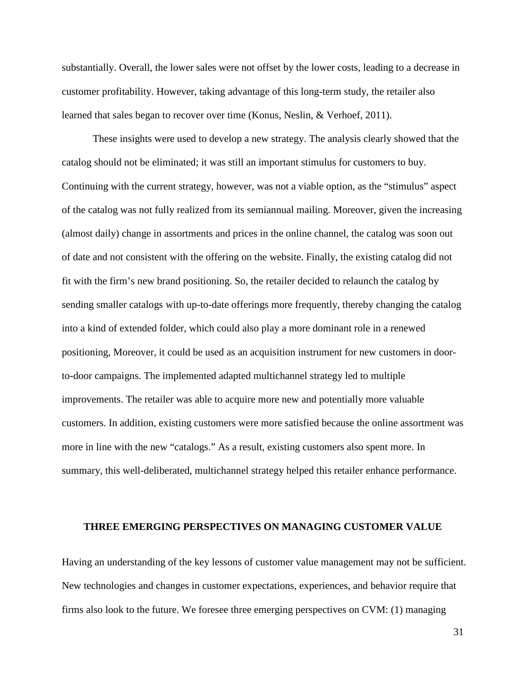substantially. Overall, the lower sales were not offset by the lower costs, leading to a decrease in customer profitability. However, taking advantage of this long-term study, the retailer also learned that sales began to recover over time (Konus, Neslin, & Verhoef, 2011).

These insights were used to develop a new strategy. The analysis clearly showed that the catalog should not be eliminated; it was still an important stimulus for customers to buy. Continuing with the current strategy, however, was not a viable option, as the "stimulus" aspect of the catalog was not fully realized from its semiannual mailing. Moreover, given the increasing (almost daily) change in assortments and prices in the online channel, the catalog was soon out of date and not consistent with the offering on the website. Finally, the existing catalog did not fit with the firm's new brand positioning. So, the retailer decided to relaunch the catalog by sending smaller catalogs with up-to-date offerings more frequently, thereby changing the catalog into a kind of extended folder, which could also play a more dominant role in a renewed positioning, Moreover, it could be used as an acquisition instrument for new customers in doorto-door campaigns. The implemented adapted multichannel strategy led to multiple improvements. The retailer was able to acquire more new and potentially more valuable customers. In addition, existing customers were more satisfied because the online assortment was more in line with the new "catalogs." As a result, existing customers also spent more. In summary, this well-deliberated, multichannel strategy helped this retailer enhance performance.

### **THREE EMERGING PERSPECTIVES ON MANAGING CUSTOMER VALUE**

Having an understanding of the key lessons of customer value management may not be sufficient. New technologies and changes in customer expectations, experiences, and behavior require that firms also look to the future. We foresee three emerging perspectives on CVM: (1) managing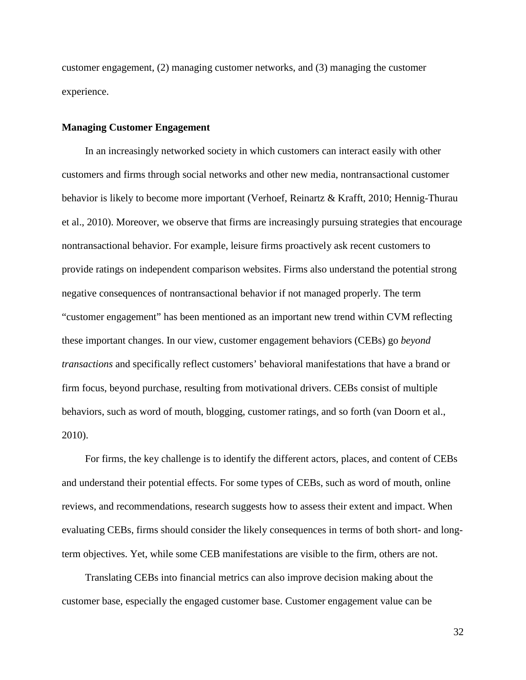customer engagement, (2) managing customer networks, and (3) managing the customer experience.

### **Managing Customer Engagement**

In an increasingly networked society in which customers can interact easily with other customers and firms through social networks and other new media, nontransactional customer behavior is likely to become more important (Verhoef, Reinartz & Krafft, 2010; Hennig-Thurau et al., 2010). Moreover, we observe that firms are increasingly pursuing strategies that encourage nontransactional behavior. For example, leisure firms proactively ask recent customers to provide ratings on independent comparison websites. Firms also understand the potential strong negative consequences of nontransactional behavior if not managed properly. The term "customer engagement" has been mentioned as an important new trend within CVM reflecting these important changes. In our view, customer engagement behaviors (CEBs) go *beyond transactions* and specifically reflect customers' behavioral manifestations that have a brand or firm focus, beyond purchase, resulting from motivational drivers. CEBs consist of multiple behaviors, such as word of mouth, blogging, customer ratings, and so forth (van Doorn et al., 2010).

For firms, the key challenge is to identify the different actors, places, and content of CEBs and understand their potential effects. For some types of CEBs, such as word of mouth, online reviews, and recommendations, research suggests how to assess their extent and impact. When evaluating CEBs, firms should consider the likely consequences in terms of both short- and longterm objectives. Yet, while some CEB manifestations are visible to the firm, others are not.

Translating CEBs into financial metrics can also improve decision making about the customer base, especially the engaged customer base. Customer engagement value can be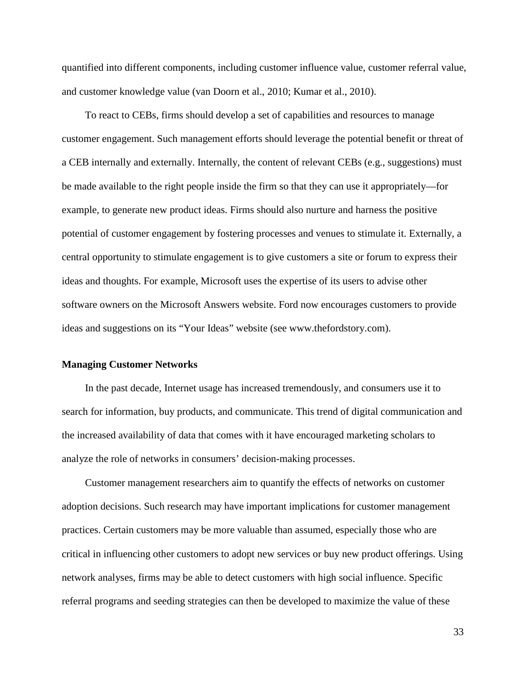quantified into different components, including customer influence value, customer referral value, and customer knowledge value (van Doorn et al., 2010; Kumar et al., 2010).

To react to CEBs, firms should develop a set of capabilities and resources to manage customer engagement. Such management efforts should leverage the potential benefit or threat of a CEB internally and externally. Internally, the content of relevant CEBs (e.g., suggestions) must be made available to the right people inside the firm so that they can use it appropriately—for example, to generate new product ideas. Firms should also nurture and harness the positive potential of customer engagement by fostering processes and venues to stimulate it. Externally, a central opportunity to stimulate engagement is to give customers a site or forum to express their ideas and thoughts. For example, Microsoft uses the expertise of its users to advise other software owners on the Microsoft Answers website. Ford now encourages customers to provide ideas and suggestions on its "Your Ideas" website (see www.thefordstory.com).

### **Managing Customer Networks**

In the past decade, Internet usage has increased tremendously, and consumers use it to search for information, buy products, and communicate. This trend of digital communication and the increased availability of data that comes with it have encouraged marketing scholars to analyze the role of networks in consumers' decision-making processes.

Customer management researchers aim to quantify the effects of networks on customer adoption decisions. Such research may have important implications for customer management practices. Certain customers may be more valuable than assumed, especially those who are critical in influencing other customers to adopt new services or buy new product offerings. Using network analyses, firms may be able to detect customers with high social influence. Specific referral programs and seeding strategies can then be developed to maximize the value of these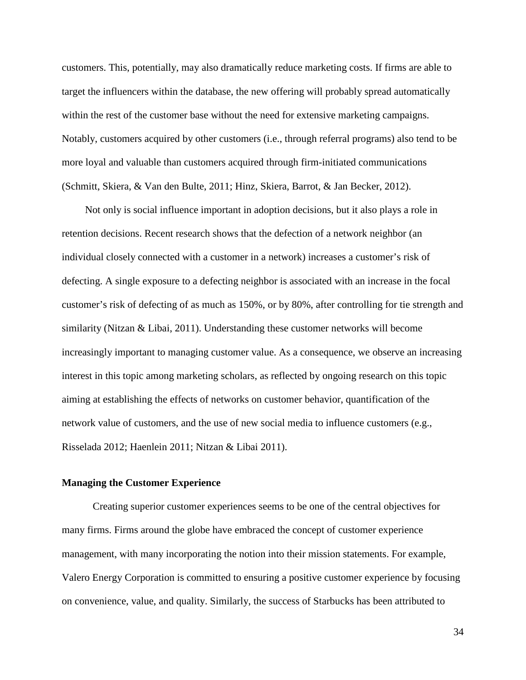customers. This, potentially, may also dramatically reduce marketing costs. If firms are able to target the influencers within the database, the new offering will probably spread automatically within the rest of the customer base without the need for extensive marketing campaigns. Notably, customers acquired by other customers (i.e., through referral programs) also tend to be more loyal and valuable than customers acquired through firm-initiated communications (Schmitt, Skiera, & Van den Bulte, 2011; Hinz, Skiera, Barrot, & Jan Becker, 2012).

Not only is social influence important in adoption decisions, but it also plays a role in retention decisions. Recent research shows that the defection of a network neighbor (an individual closely connected with a customer in a network) increases a customer's risk of defecting. A single exposure to a defecting neighbor is associated with an increase in the focal customer's risk of defecting of as much as 150%, or by 80%, after controlling for tie strength and similarity (Nitzan & Libai, 2011). Understanding these customer networks will become increasingly important to managing customer value. As a consequence, we observe an increasing interest in this topic among marketing scholars, as reflected by ongoing research on this topic aiming at establishing the effects of networks on customer behavior, quantification of the network value of customers, and the use of new social media to influence customers (e.g., Risselada 2012; Haenlein 2011; Nitzan & Libai 2011).

### **Managing the Customer Experience**

Creating superior customer experiences seems to be one of the central objectives for many firms. Firms around the globe have embraced the concept of customer experience management, with many incorporating the notion into their mission statements. For example, Valero Energy Corporation is committed to ensuring a positive customer experience by focusing on convenience, value, and quality. Similarly, the success of Starbucks has been attributed to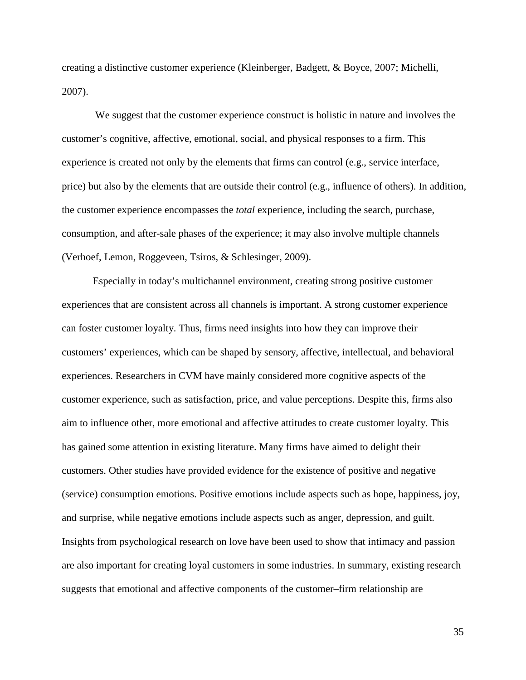creating a distinctive customer experience (Kleinberger, Badgett, & Boyce, 2007; Michelli, 2007).

We suggest that the customer experience construct is holistic in nature and involves the customer's cognitive, affective, emotional, social, and physical responses to a firm. This experience is created not only by the elements that firms can control (e.g., service interface, price) but also by the elements that are outside their control (e.g., influence of others). In addition, the customer experience encompasses the *total* experience, including the search, purchase, consumption, and after-sale phases of the experience; it may also involve multiple channels (Verhoef, Lemon, Roggeveen, Tsiros, & Schlesinger, 2009).

Especially in today's multichannel environment, creating strong positive customer experiences that are consistent across all channels is important. A strong customer experience can foster customer loyalty. Thus, firms need insights into how they can improve their customers' experiences, which can be shaped by sensory, affective, intellectual, and behavioral experiences. Researchers in CVM have mainly considered more cognitive aspects of the customer experience, such as satisfaction, price, and value perceptions. Despite this, firms also aim to influence other, more emotional and affective attitudes to create customer loyalty. This has gained some attention in existing literature. Many firms have aimed to delight their customers. Other studies have provided evidence for the existence of positive and negative (service) consumption emotions. Positive emotions include aspects such as hope, happiness, joy, and surprise, while negative emotions include aspects such as anger, depression, and guilt. Insights from psychological research on love have been used to show that intimacy and passion are also important for creating loyal customers in some industries. In summary, existing research suggests that emotional and affective components of the customer–firm relationship are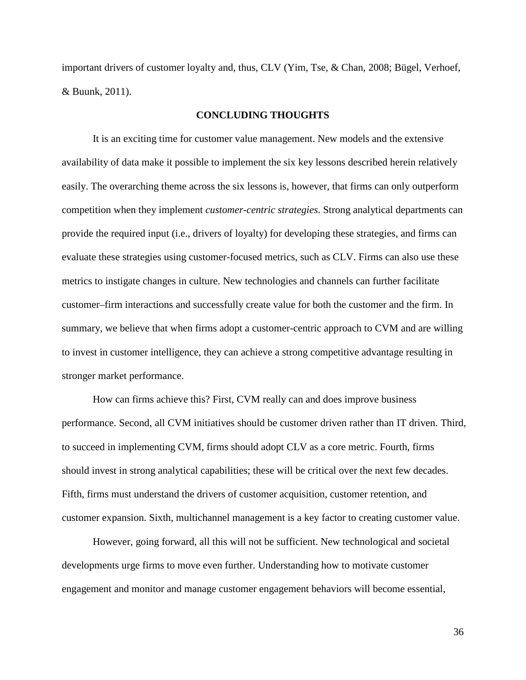important drivers of customer loyalty and, thus, CLV (Yim, Tse, & Chan, 2008; Bügel, Verhoef, & Buunk, 2011).

### **CONCLUDING THOUGHTS**

It is an exciting time for customer value management. New models and the extensive availability of data make it possible to implement the six key lessons described herein relatively easily. The overarching theme across the six lessons is, however, that firms can only outperform competition when they implement *customer*-*centric strategies*. Strong analytical departments can provide the required input (i.e., drivers of loyalty) for developing these strategies, and firms can evaluate these strategies using customer-focused metrics, such as CLV. Firms can also use these metrics to instigate changes in culture. New technologies and channels can further facilitate customer–firm interactions and successfully create value for both the customer and the firm. In summary, we believe that when firms adopt a customer-centric approach to CVM and are willing to invest in customer intelligence, they can achieve a strong competitive advantage resulting in stronger market performance.

How can firms achieve this? First, CVM really can and does improve business performance. Second, all CVM initiatives should be customer driven rather than IT driven. Third, to succeed in implementing CVM, firms should adopt CLV as a core metric. Fourth, firms should invest in strong analytical capabilities; these will be critical over the next few decades. Fifth, firms must understand the drivers of customer acquisition, customer retention, and customer expansion. Sixth, multichannel management is a key factor to creating customer value.

However, going forward, all this will not be sufficient. New technological and societal developments urge firms to move even further. Understanding how to motivate customer engagement and monitor and manage customer engagement behaviors will become essential,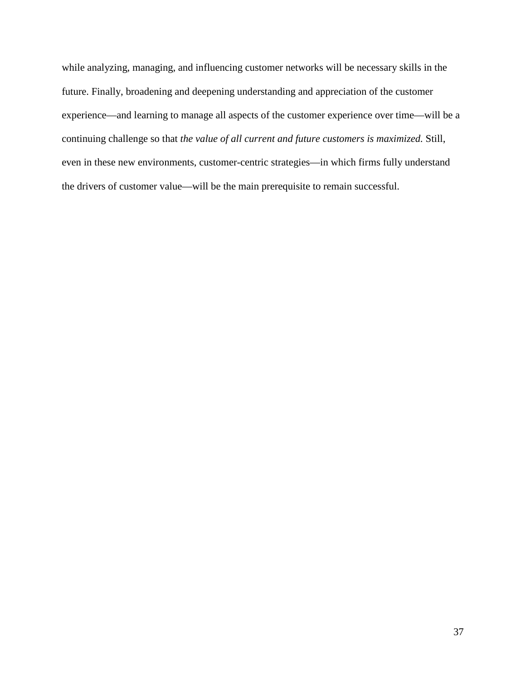while analyzing, managing, and influencing customer networks will be necessary skills in the future. Finally, broadening and deepening understanding and appreciation of the customer experience—and learning to manage all aspects of the customer experience over time—will be a continuing challenge so that *the value of all current and future customers is maximized.* Still, even in these new environments, customer-centric strategies—in which firms fully understand the drivers of customer value—will be the main prerequisite to remain successful.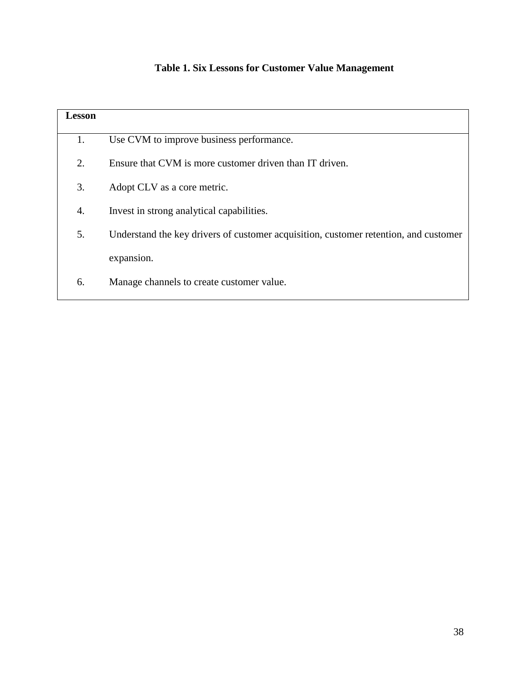# **Table 1. Six Lessons for Customer Value Management**

| <b>Lesson</b> |                                                                                      |
|---------------|--------------------------------------------------------------------------------------|
| 1.            | Use CVM to improve business performance.                                             |
| 2.            | Ensure that CVM is more customer driven than IT driven.                              |
| 3.            | Adopt CLV as a core metric.                                                          |
| 4.            | Invest in strong analytical capabilities.                                            |
| 5.            | Understand the key drivers of customer acquisition, customer retention, and customer |
|               | expansion.                                                                           |
| 6.            | Manage channels to create customer value.                                            |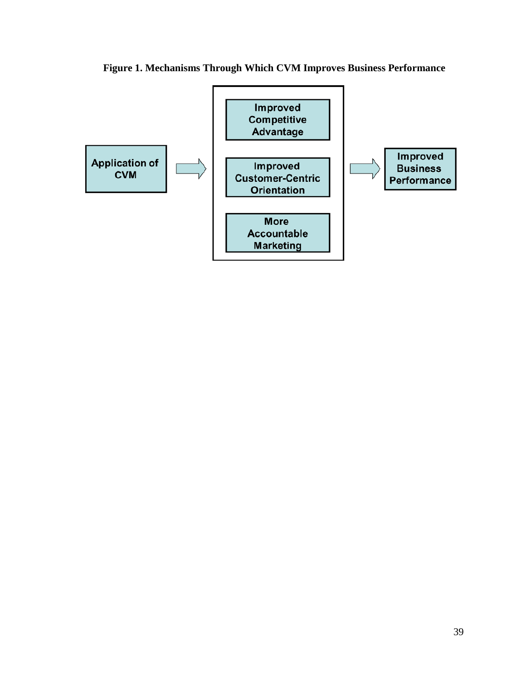

**Figure 1. Mechanisms Through Which CVM Improves Business Performance**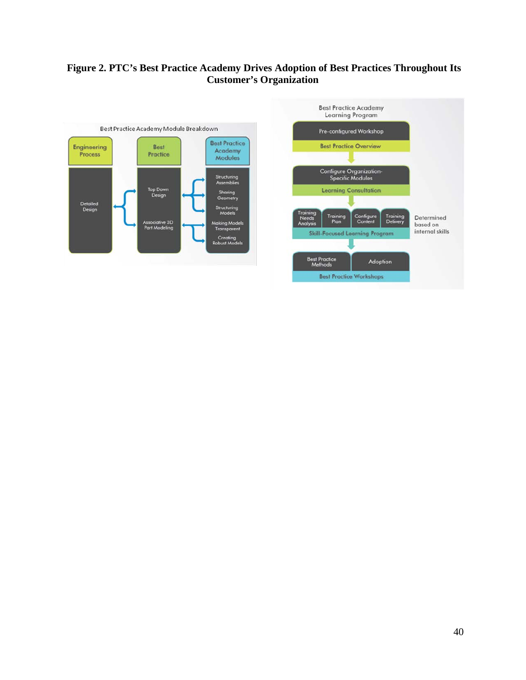## **Figure 2. PTC's Best Practice Academy Drives Adoption of Best Practices Throughout Its Customer's Organization**

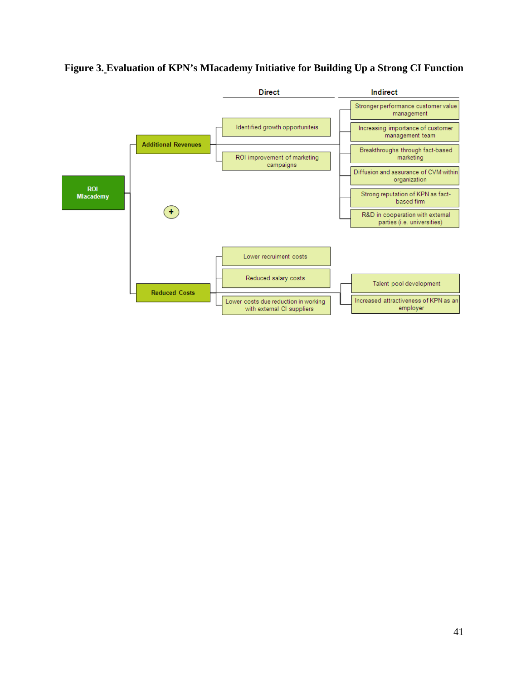

# **Figure 3. Evaluation of KPN's MIacademy Initiative for Building Up a Strong CI Function**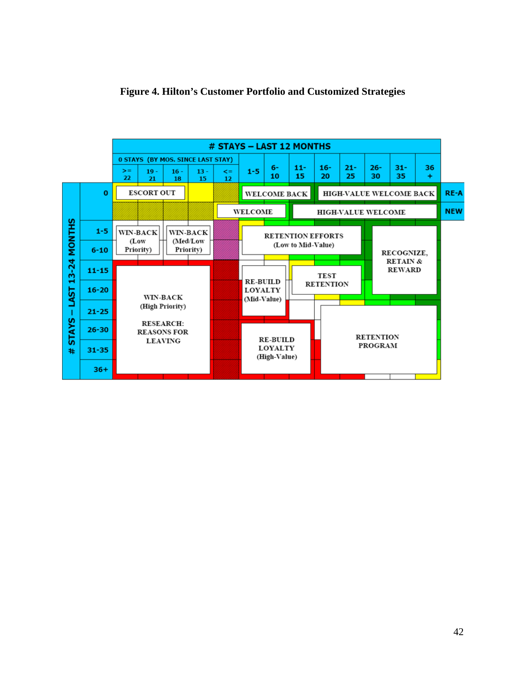

### **Figure 4. Hilton's Customer Portfolio and Customized Strategies**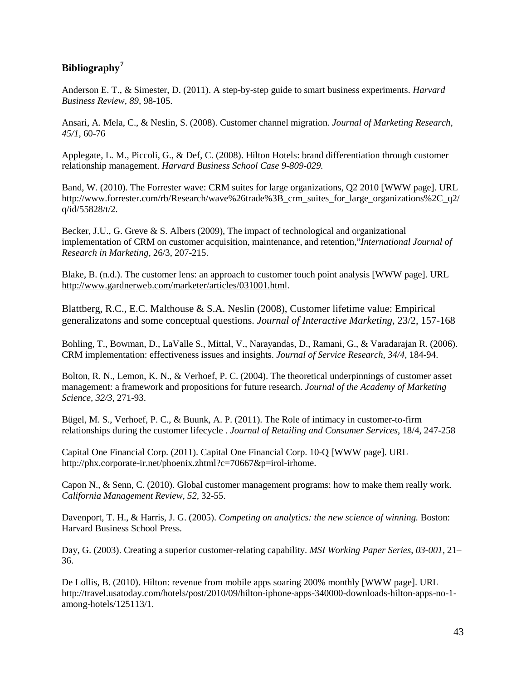# **Bibliography[7](#page-47-6)**

Anderson E. T., & Simester, D. (2011). A step-by-step guide to smart business experiments. *Harvard Business Review, 89,* 98-105.

Ansari, A. Mela, C., & Neslin, S. (2008). Customer channel migration. *Journal of Marketing Research, 45/1*, 60-76

Applegate, L. M., Piccoli, G., & Def, C. (2008). Hilton Hotels: brand differentiation through customer relationship management. *Harvard Business School Case 9-809-029.*

Band, W. (2010). The Forrester wave: CRM suites for large organizations, Q2 2010 [WWW page]. URL http://www.forrester.com/rb/Research/wave%26trade%3B\_crm\_suites\_for\_large\_organizations%2C\_q2/ q/id/55828/t/2.

Becker, J.U., G. Greve & S. Albers (2009), The impact of technological and organizational implementation of CRM on customer acquisition, maintenance, and retention,"*International Journal of Research in Marketing*, 26/3, 207-215.

Blake, B. (n.d.). The customer lens: an approach to customer touch point analysis [WWW page]. URL [http://www.gardnerweb.com/marketer/articles/031001.html.](http://www.gardnerweb.com/marketer/articles/031001.html)

Blattberg, R.C., E.C. Malthouse & S.A. Neslin (2008), Customer lifetime value: Empirical generalizatons and some conceptual questions. *Journal of Interactive Marketing*, 23/2, 157-168

Bohling, T., Bowman, D., LaValle S., Mittal, V., Narayandas, D., Ramani, G., & Varadarajan R. (2006). CRM implementation: effectiveness issues and insights. *Journal of Service Research*, *34/4*, 184-94.

Bolton, R. N., Lemon, K. N., & Verhoef, P. C. (2004). The theoretical underpinnings of customer asset management: a framework and propositions for future research. *Journal of the Academy of Marketing Science, 32/3,* 271-93.

Bügel, M. S., Verhoef, P. C., & Buunk, A. P. (2011). The Role of intimacy in customer-to-firm relationships during the customer lifecycle . *Journal of Retailing and Consumer Services*, 18/4, 247-258

Capital One Financial Corp. (2011). Capital One Financial Corp. 10-Q [WWW page]. URL http://phx.corporate-ir.net/phoenix.zhtml?c=70667&p=irol-irhome.

Capon N., & Senn, C. (2010). Global customer management programs: how to make them really work. *California Management Review*, *52,* 32-55.

Davenport, T. H., & Harris, J. G. (2005). *Competing on analytics: the new science of winning.* Boston: Harvard Business School Press.

Day, G. (2003). Creating a superior customer-relating capability. *MSI Working Paper Series*, *03-001,* 21– 36.

De Lollis, B. (2010). Hilton: revenue from mobile apps soaring 200% monthly [WWW page]. URL http://travel.usatoday.com/hotels/post/2010/09/hilton-iphone-apps-340000-downloads-hilton-apps-no-1 among-hotels/125113/1.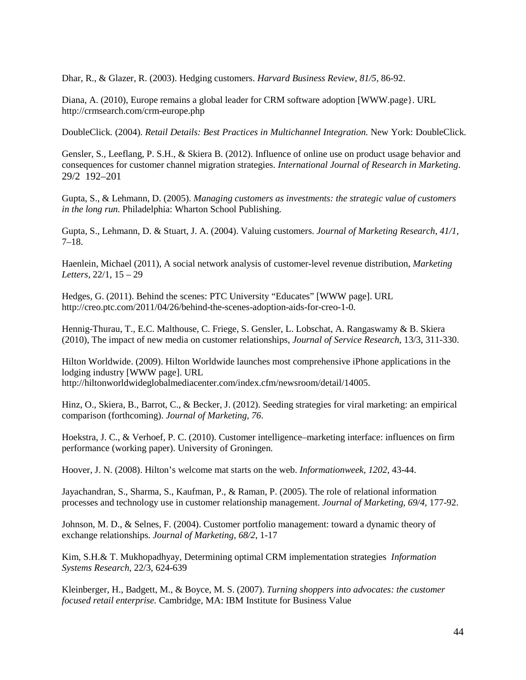Dhar, R., & Glazer, R. (2003). Hedging customers. *Harvard Business Review*, *81/5,* 86-92.

Diana, A. (2010), Europe remains a global leader for CRM software adoption [WWW.page}. URL http://crmsearch.com/crm-europe.php

DoubleClick. (2004). *Retail Details: Best Practices in Multichannel Integration.* New York: DoubleClick.

Gensler, S., Leeflang, P. S.H., & Skiera B. (2012). Influence of online use on product usage behavior and consequences for customer channel migration strategies. *International Journal of Research in Marketing*. 29/2 192–201

Gupta, S., & Lehmann, D. (2005). *Managing customers as investments: the strategic value of customers in the long run.* Philadelphia: Wharton School Publishing.

Gupta, S., Lehmann, D. & Stuart, J. A. (2004). Valuing customers. *Journal of Marketing Research*, *41/1,* 7–18.

Haenlein, Michael (2011), A social network analysis of customer-level revenue distribution, *Marketing Letters*, 22/1, 15 – 29

Hedges, G. (2011). Behind the scenes: PTC University "Educates" [WWW page]. URL http://creo.ptc.com/2011/04/26/behind-the-scenes-adoption-aids-for-creo-1-0.

Hennig-Thurau, T., E.C. Malthouse, C. Friege, S. Gensler, L. Lobschat, A. Rangaswamy & B. Skiera (2010), The impact of new media on customer relationships, *Journal of Service Research*, 13/3, 311-330.

Hilton Worldwide. (2009). Hilton Worldwide launches most comprehensive iPhone applications in the lodging industry [WWW page]. URL http://hiltonworldwideglobalmediacenter.com/index.cfm/newsroom/detail/14005.

Hinz, O., Skiera, B., Barrot, C., & Becker, J. (2012). Seeding strategies for viral marketing: an empirical comparison (forthcoming). *Journal of Marketing, 76*.

Hoekstra, J. C., & Verhoef, P. C. (2010). Customer intelligence–marketing interface: influences on firm performance (working paper). University of Groningen.

Hoover, J. N. (2008). Hilton's welcome mat starts on the web. *Informationweek, 1202,* 43-44.

Jayachandran, S., Sharma, S., Kaufman, P., & Raman, P. (2005). The role of relational information processes and technology use in customer relationship management. *Journal of Marketing*, *69/4,* 177-92.

Johnson, M. D., & Selnes, F. (2004). Customer portfolio management: toward a dynamic theory of exchange relationships. *Journal of Marketing*, *68/2*, 1-17

Kim, S.H.& T. Mukhopadhyay, Determining optimal CRM implementation strategies *Information Systems Research*, 22/3, 624-639

Kleinberger, H., Badgett, M., & Boyce, M. S. (2007). *Turning shoppers into advocates: the customer focused retail enterprise.* Cambridge, MA: IBM Institute for Business Value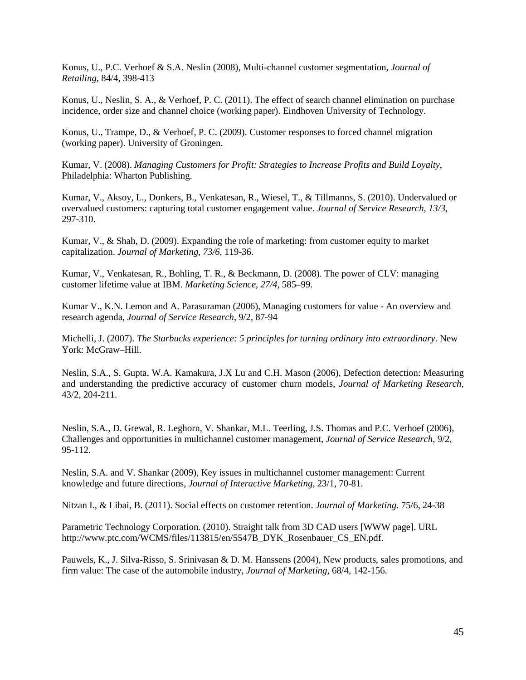Konus, U., P.C. Verhoef & S.A. Neslin (2008), Multi-channel customer segmentation, *Journal of Retailing,* 84/4, 398-413

Konus, U., Neslin, S. A., & Verhoef, P. C. (2011). The effect of search channel elimination on purchase incidence, order size and channel choice (working paper). Eindhoven University of Technology.

Konus, U., Trampe, D., & Verhoef, P. C. (2009). Customer responses to forced channel migration (working paper). University of Groningen.

Kumar, V. (2008). *Managing Customers for Profit: Strategies to Increase Profits and Build Loyalty*, Philadelphia: Wharton Publishing.

Kumar, V., Aksoy, L., Donkers, B., Venkatesan, R., Wiesel, T., & Tillmanns, S. (2010). Undervalued or overvalued customers: capturing total customer engagement value. *Journal of Service Research, 13/3*, 297-310.

Kumar, V., & Shah, D. (2009). Expanding the role of marketing: from customer equity to market capitalization. *Journal of Marketing*, *73/6,* 119-36.

Kumar, V., Venkatesan, R., Bohling, T. R., & Beckmann, D. (2008). The power of CLV: managing customer lifetime value at IBM. *Marketing Science*, *27/4*, 585–99.

Kumar V., K.N. Lemon and A. Parasuraman (2006), Managing customers for value - An overview and research agenda, *Journal of Service Research*, 9/2, 87-94

Michelli, J. (2007). *The Starbucks experience: 5 principles for turning ordinary into extraordinary*. New York: McGraw–Hill.

Neslin, S.A., S. Gupta, W.A. Kamakura, J.X Lu and C.H. Mason (2006), Defection detection: Measuring and understanding the predictive accuracy of customer churn models, *Journal of Marketing Research,* 43/2, 204-211.

Neslin, S.A., D. Grewal, R. Leghorn, V. Shankar, M.L. Teerling, J.S. Thomas and P.C. Verhoef (2006), Challenges and opportunities in multichannel customer management, *Journal of Service Research,* 9/2, 95-112.

Neslin, S.A. and V. Shankar (2009), Key issues in multichannel customer management: Current knowledge and future directions, *Journal of Interactive Marketing*, 23/1, 70-81.

Nitzan I., & Libai, B. (2011). Social effects on customer retention. *Journal of Marketing*. 75/6, 24-38

Parametric Technology Corporation. (2010). Straight talk from 3D CAD users [WWW page]. URL http://www.ptc.com/WCMS/files/113815/en/5547B\_DYK\_Rosenbauer\_CS\_EN.pdf.

Pauwels, K., J. Silva-Risso, S. Srinivasan & D. M. Hanssens (2004), New products, sales promotions, and firm value: The case of the automobile industry, *[Journal of Marketing,](http://www.jstor.org/action/showPublication?journalCode=jmarketing)* 68/4, 142-156.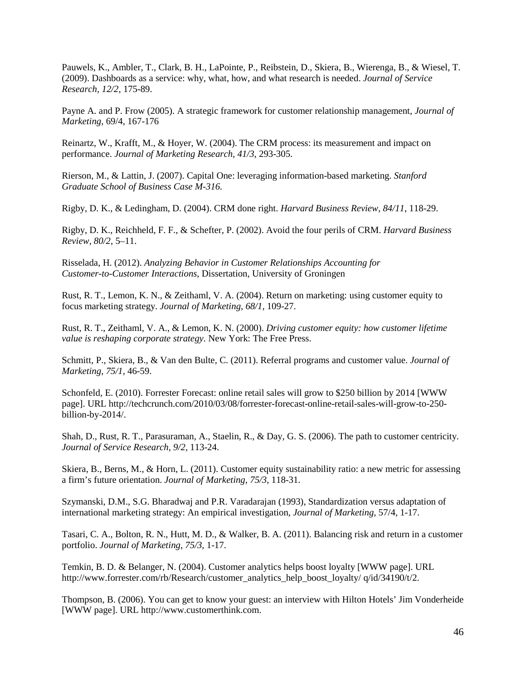Pauwels, K., Ambler, T., Clark, B. H., LaPointe, P., Reibstein, D., Skiera, B., Wierenga, B., & Wiesel, T. (2009). Dashboards as a service: why, what, how, and what research is needed. *Journal of Service Research, 12/2,* 175-89.

Payne A. and P. Frow (2005). A strategic framework for customer relationship management, *Journal of Marketing*, 69/4, 167-176

Reinartz, W., Krafft, M., & Hoyer, W. (2004). The CRM process: its measurement and impact on performance. *Journal of Marketing Research, 41/3*, 293-305.

Rierson, M., & Lattin, J. (2007). Capital One: leveraging information-based marketing. *Stanford Graduate School of Business Case M-316.*

Rigby, D. K., & Ledingham, D. (2004). CRM done right. *Harvard Business Review, 84/11*, 118-29.

Rigby, D. K., Reichheld, F. F., & Schefter, P. (2002). Avoid the four perils of CRM. *Harvard Business Review, 80/2*, 5–11.

Risselada, H. (2012). *Analyzing Behavior in Customer Relationships Accounting for Customer-to-Customer Interactions*, Dissertation, University of Groningen

Rust, R. T., Lemon, K. N., & Zeithaml, V. A. (2004). Return on marketing: using customer equity to focus marketing strategy. *Journal of Marketing, 68/1*, 109-27.

Rust, R. T., Zeithaml, V. A., & Lemon, K. N. (2000). *Driving customer equity: how customer lifetime value is reshaping corporate strategy.* New York: The Free Press.

Schmitt, P., Skiera, B., & Van den Bulte, C. (2011). Referral programs and customer value. *Journal of Marketing*, *75/1*, 46-59.

Schonfeld, E. (2010). Forrester Forecast: online retail sales will grow to \$250 billion by 2014 [WWW page]. URL http://techcrunch.com/2010/03/08/forrester-forecast-online-retail-sales-will-grow-to-250 billion-by-2014/.

Shah, D., Rust, R. T., Parasuraman, A., Staelin, R., & Day, G. S. (2006). The path to customer centricity. *Journal of Service Research, 9/2,* 113-24.

Skiera, B., Berns, M., & Horn, L. (2011). Customer equity sustainability ratio: a new metric for assessing a firm's future orientation. *Journal of Marketing*, *75/3,* 118-31.

Szymanski, D.M., S.G. Bharadwaj and P.R. Varadarajan (1993), [Standardization versus adaptation of](http://www.jstor.org/stable/1252215)  [international marketing strategy: An empirical investigation,](http://www.jstor.org/stable/1252215) *Journal of Marketing*, 57/4, 1-17.

Tasari, C. A., Bolton, R. N., Hutt, M. D., & Walker, B. A. (2011). Balancing risk and return in a customer portfolio. *Journal of Marketing*, *75/3*, 1-17.

Temkin, B. D. & Belanger, N. (2004). Customer analytics helps boost loyalty [WWW page]. URL http://www.forrester.com/rb/Research/customer\_analytics\_help\_boost\_loyalty/ q/id/34190/t/2.

Thompson, B. (2006). You can get to know your guest: an interview with Hilton Hotels' Jim Vonderheide [WWW page]. URL http://www.customerthink.com.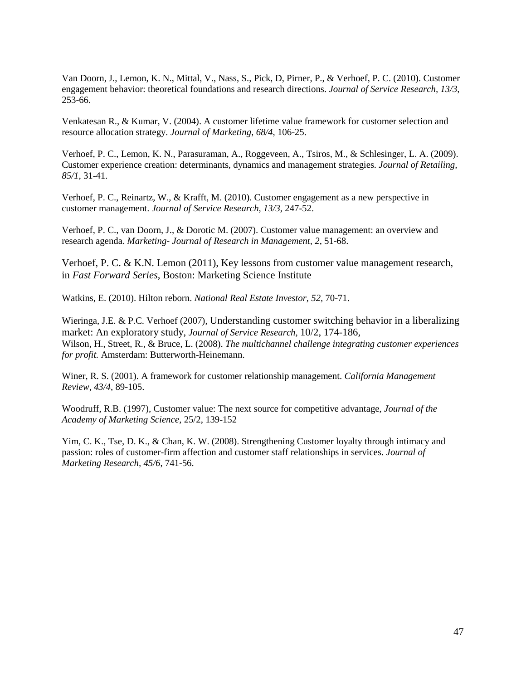Van Doorn, J., Lemon, K. N., Mittal, V., Nass, S., Pick, D, Pirner, P., & Verhoef, P. C. (2010). Customer engagement behavior: theoretical foundations and research directions. *Journal of Service Research, 13/3*, 253-66.

Venkatesan R., & Kumar, V. (2004). A customer lifetime value framework for customer selection and resource allocation strategy. *Journal of Marketing*, *68/4,* 106-25.

Verhoef, P. C., Lemon, K. N., Parasuraman, A., Roggeveen, A., Tsiros, M., & Schlesinger, L. A. (2009). Customer experience creation: determinants, dynamics and management strategies. *Journal of Retailing, 85/1*, 31-41.

Verhoef, P. C., Reinartz, W., & Krafft, M. (2010). Customer engagement as a new perspective in customer management. *Journal of Service Research, 13/3*, 247-52.

Verhoef, P. C., van Doorn, J., & Dorotic M. (2007). Customer value management: an overview and research agenda. *Marketing- Journal of Research in Management*, *2*, 51-68.

Verhoef, P. C. & K.N. Lemon (2011), Key lessons from customer value management research, in *Fast Forward Series*, Boston: Marketing Science Institute

Watkins, E. (2010). Hilton reborn. *National Real Estate Investor, 52,* 70-71.

Wieringa, J.E. & P.C. Verhoef (2007), Understanding customer switching behavior in a liberalizing market: An exploratory study, *Journal of Service Research*, 10/2, 174-186*,*  Wilson, H., Street, R., & Bruce, L. (2008). *The multichannel challenge integrating customer experiences for profit.* Amsterdam: [Butterworth-Heinemann.](http://www.managementboek.nl/uitgever/173/butterworth_heinemann)

Winer, R. S. (2001). A framework for customer relationship management. *California Management Review*, *43/4*, 89-105.

Woodruff, R.B. (1997), Customer value: The next source for competitive advantage, *Journal of the Academy of Marketing Science*, 25/2, 139-152

Yim, C. K., Tse, D. K., & Chan, K. W. (2008). Strengthening Customer loyalty through intimacy and passion: roles of customer-firm affection and customer staff relationships in services. *Journal of Marketing Research, 45/6*, 741-56.